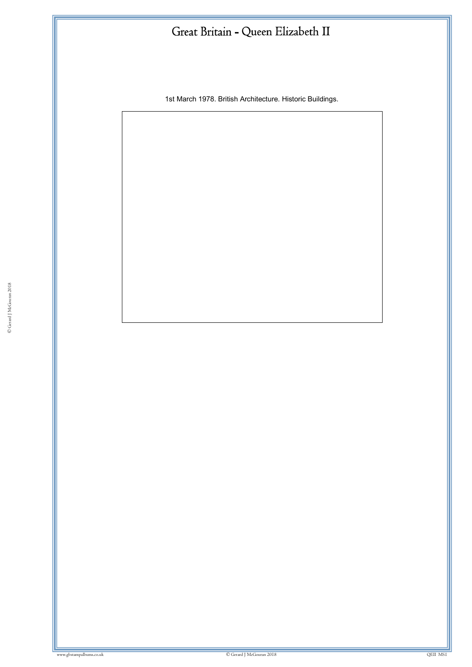1st March 1978. British Architecture. Historic Buildings.

ww.gbstampalbums.co.uk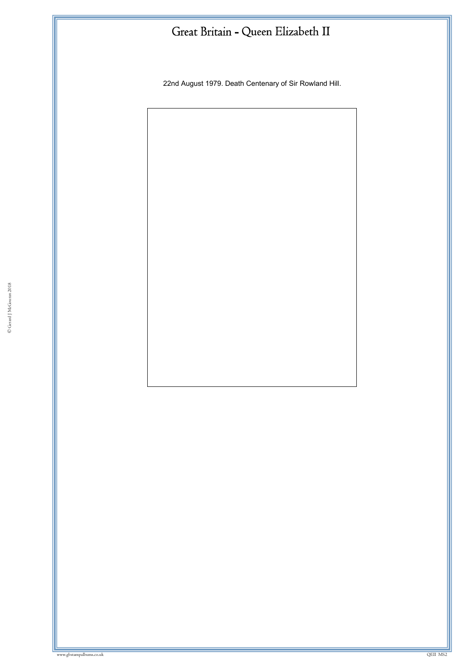22nd August 1979. Death Centenary of Sir Rowland Hill.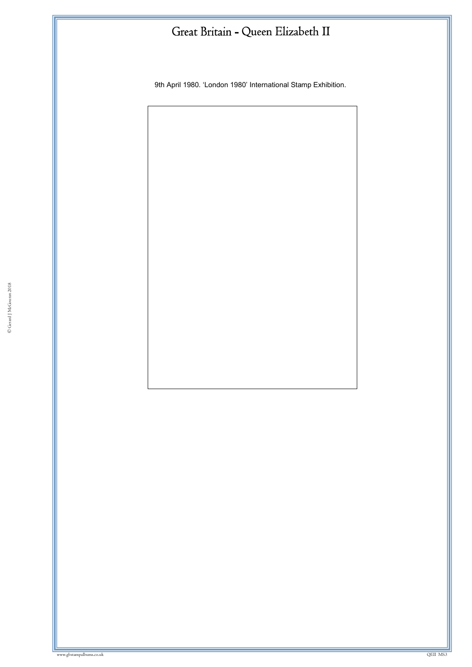9th April 1980. 'London 1980' International Stamp Exhibition.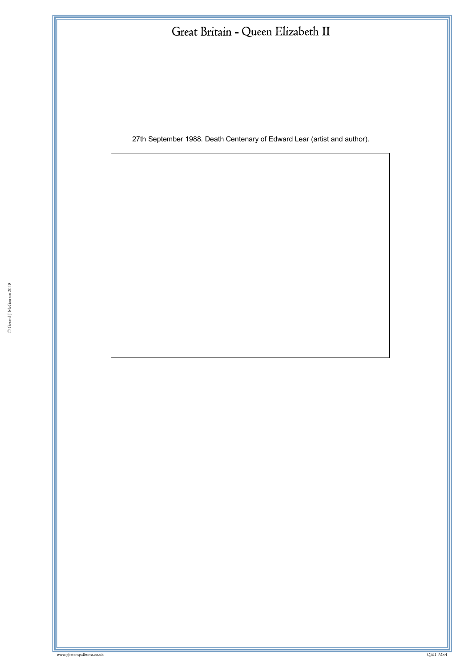27th September 1988. Death Centenary of Edward Lear (artist and author).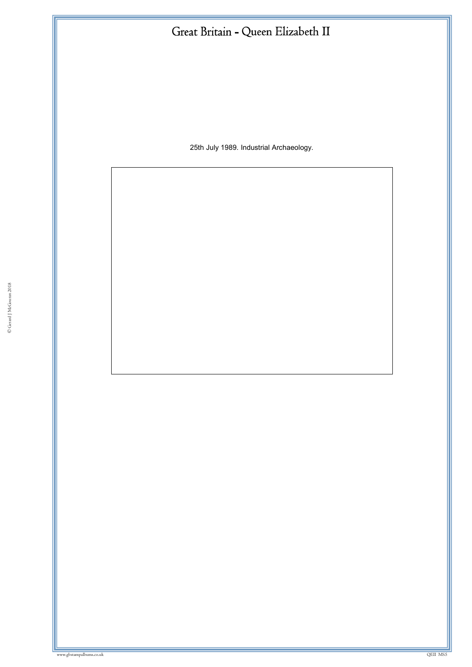25th July 1989. Industrial Archaeology.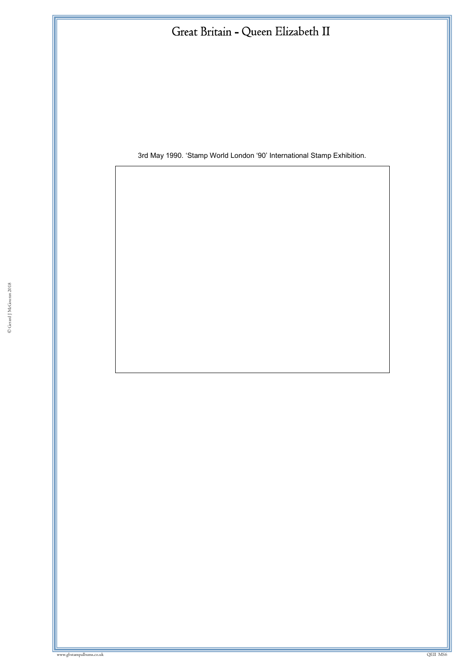3rd May 1990. 'Stamp World London '90' International Stamp Exhibition.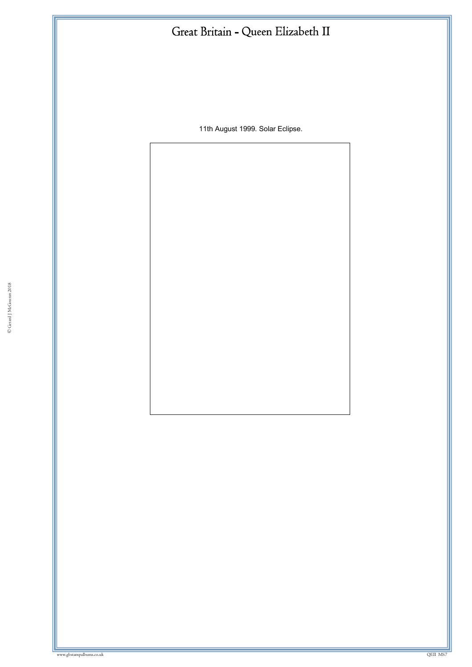11th August 1999. Solar Eclipse.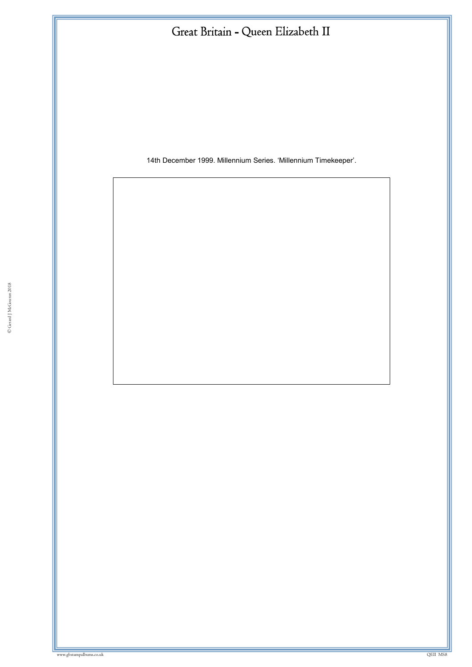14th December 1999. Millennium Series. 'Millennium Timekeeper'.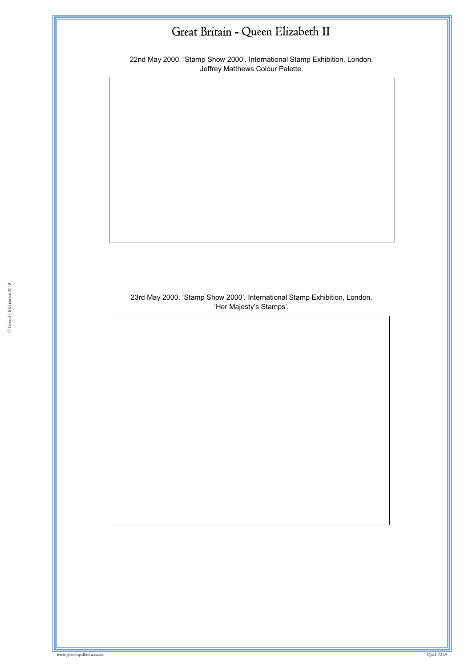22nd May 2000. 'Stamp Show 2000'. International Stamp Exhibition, London. Jeffrey Matthews Colour Palette.

23rd May 2000. 'Stamp Show 2000'. International Stamp Exhibition, London. 'Her Majesty's Stamps'.

ww.gbstampalbums.co.uk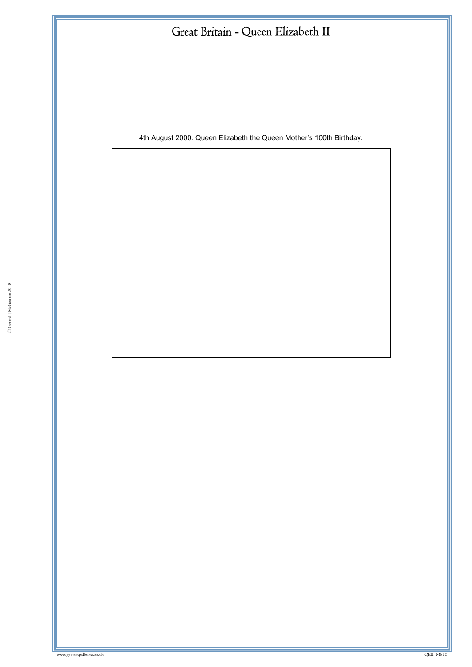4th August 2000. Queen Elizabeth the Queen Mother's 100th Birthday.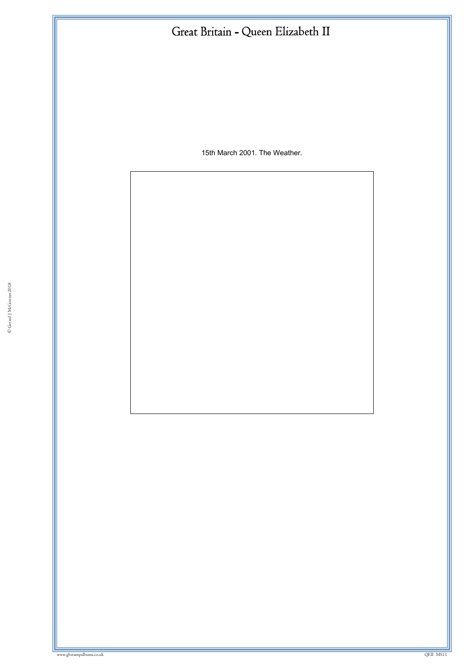15th March 2001. The Weather.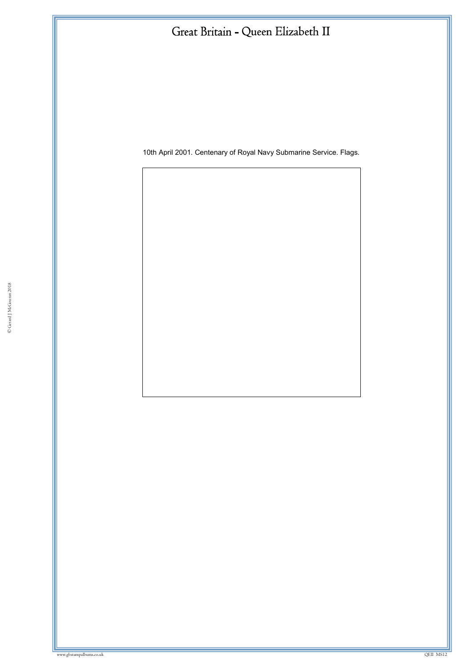10th April 2001. Centenary of Royal Navy Submarine Service. Flags.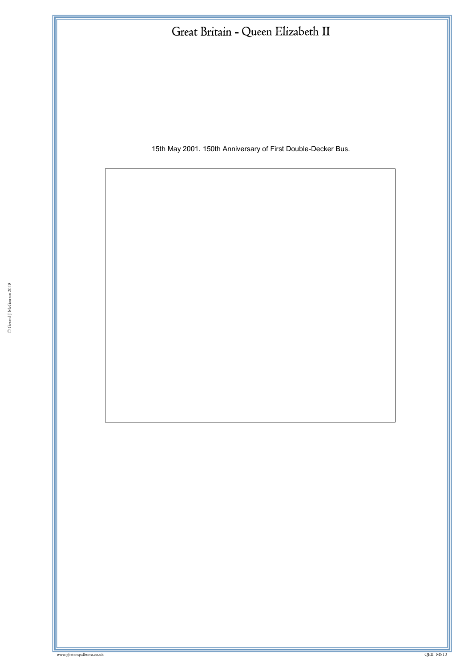15th May 2001. 150th Anniversary of First Double-Decker Bus.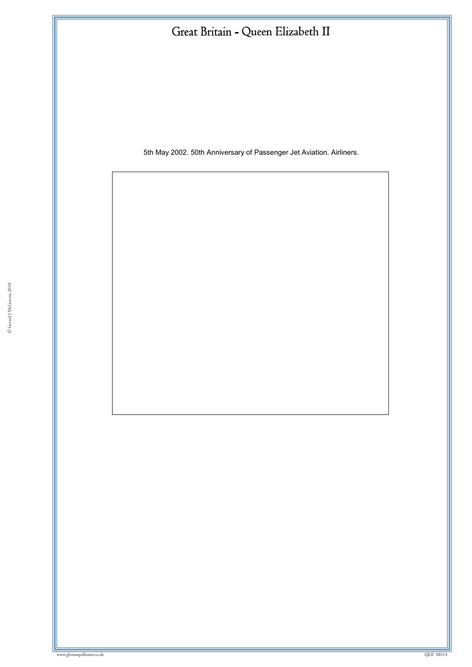5th May 2002. 50th Anniversary of Passenger Jet Aviation. Airliners.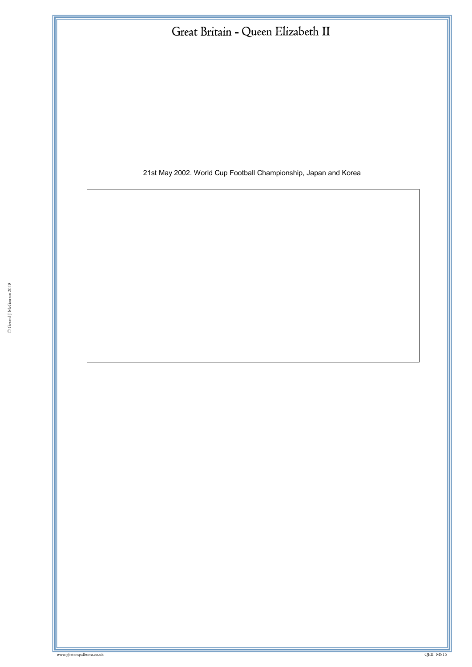

21st May 2002. World Cup Football Championship, Japan and Korea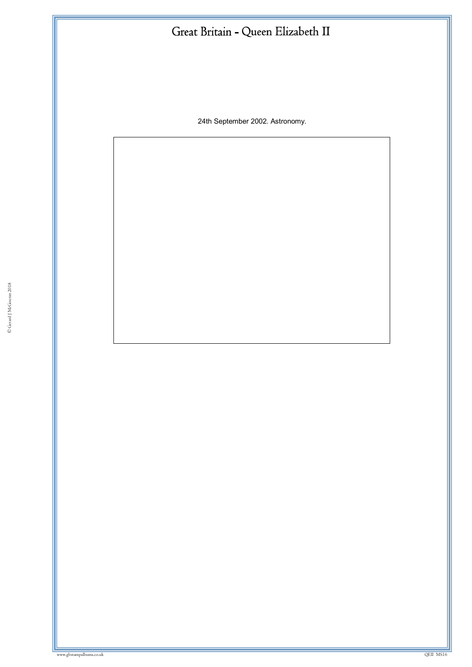24th September 2002. Astronomy.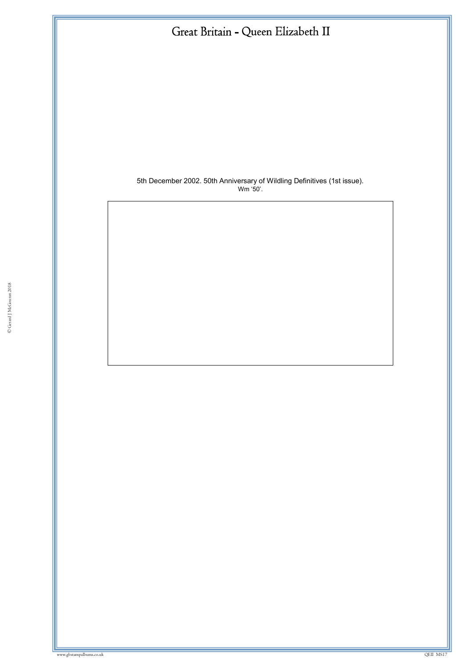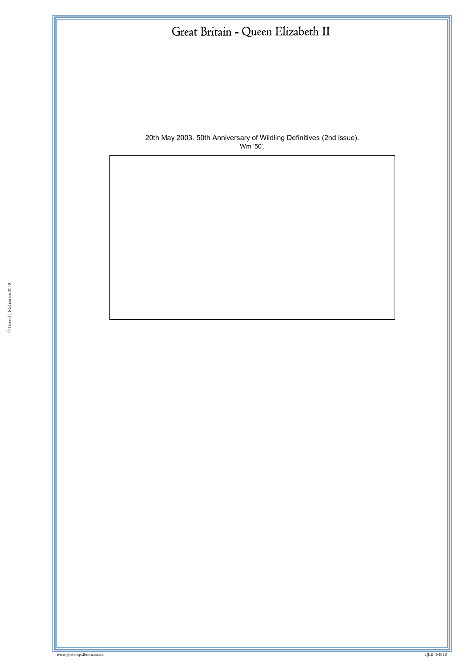

20th May 2003. 50th Anniversary of Wildling Definitives (2nd issue). Wm '50'.

ww.gbstampalbums.co.uk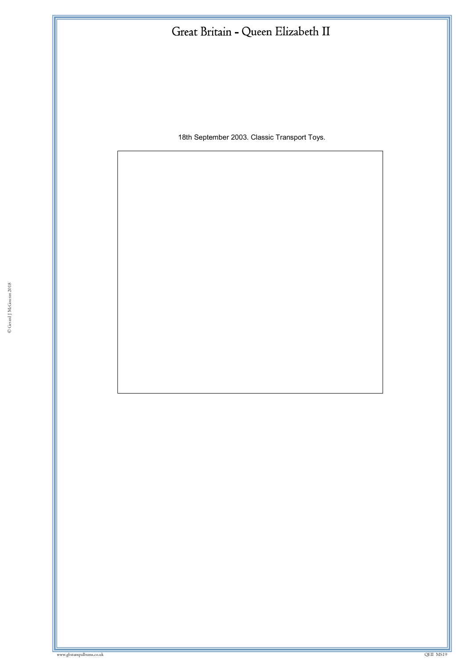18th September 2003. Classic Transport Toys.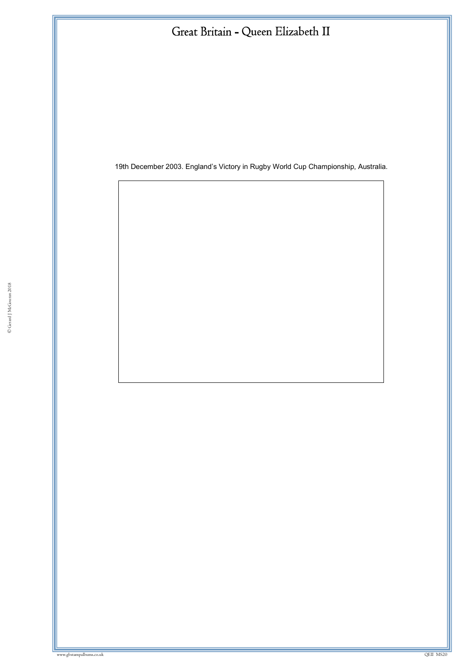19th December 2003. England's Victory in Rugby World Cup Championship, Australia.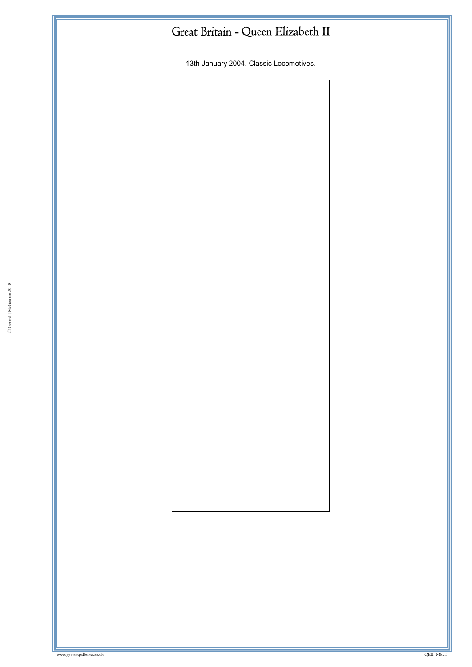13th January 2004. Classic Locomotives.

© Gerard J McGouran 2018

where we have a state of the state of the state of the state of the state of the state of the state of the state of the state of the state of the state of the state of the state of the state of the state of the state of th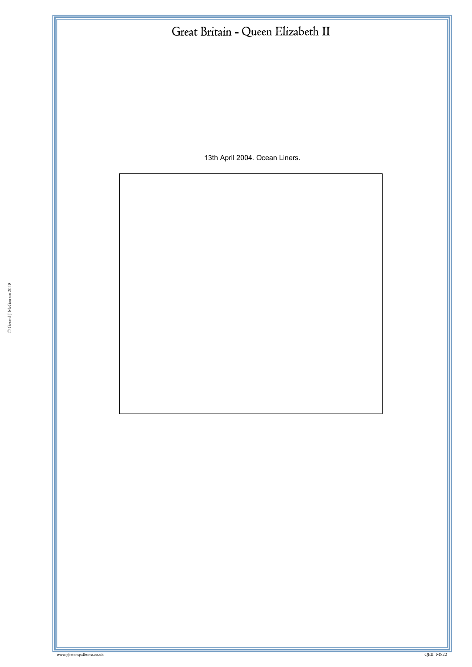13th April 2004. Ocean Liners.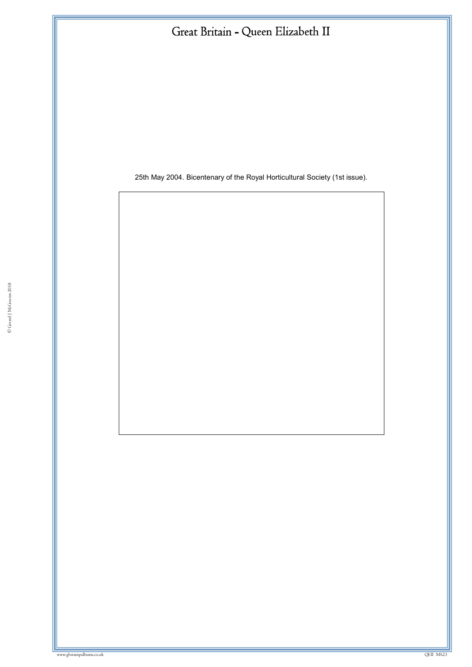25th May 2004. Bicentenary of the Royal Horticultural Society (1st issue).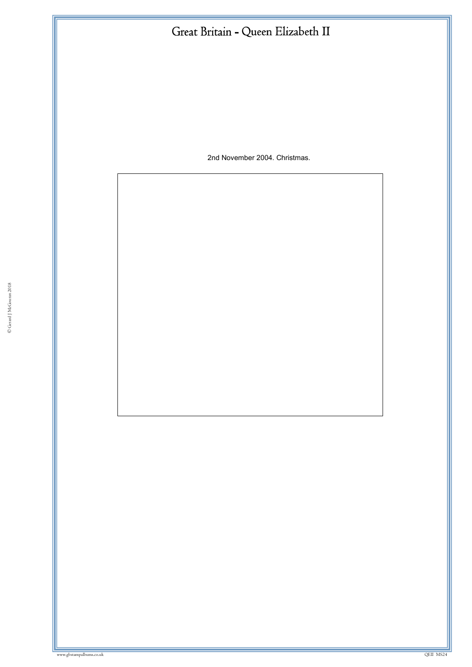2nd November 2004. Christmas.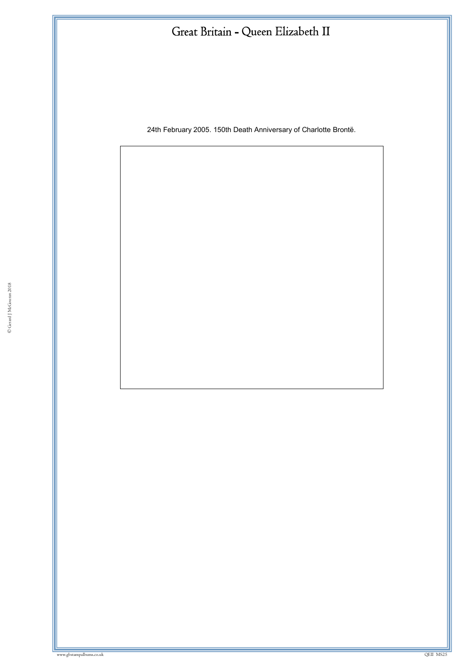24th February 2005. 150th Death Anniversary of Charlotte Brontë.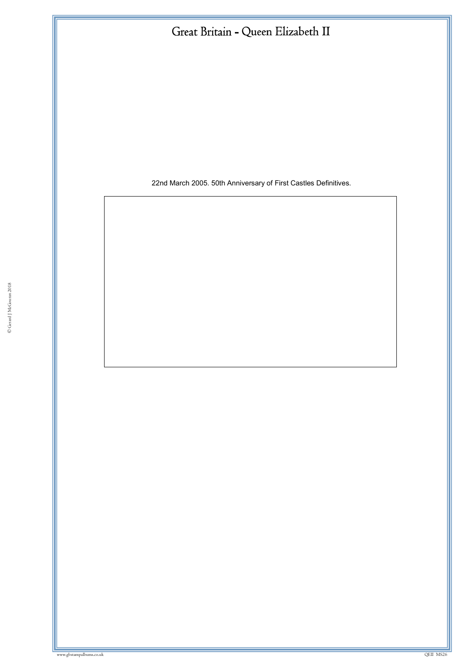22nd March 2005. 50th Anniversary of First Castles Definitives.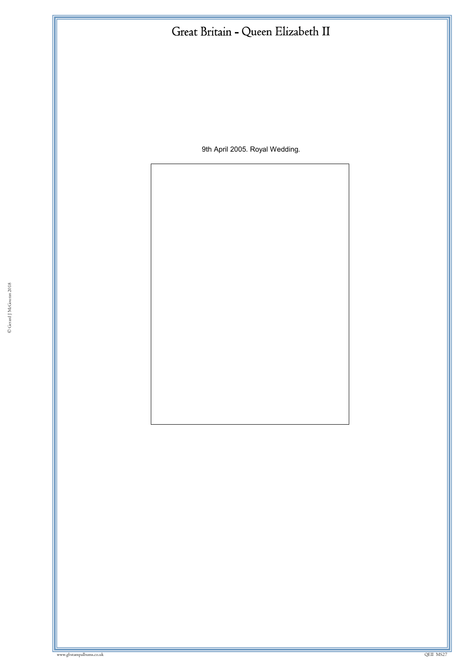9th April 2005. Royal Wedding.

© Gerard J McGouran 2018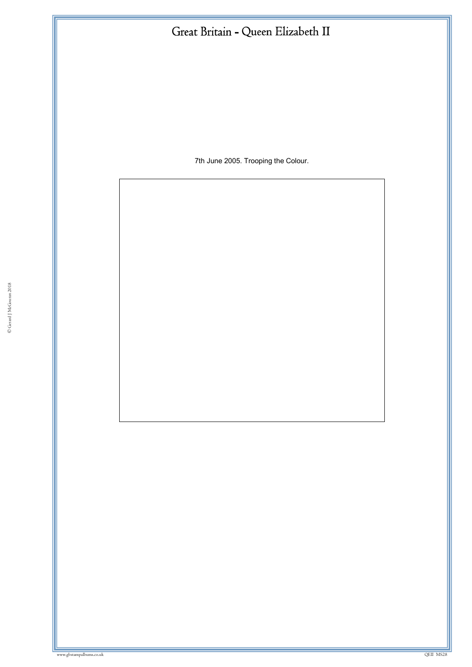7th June 2005. Trooping the Colour.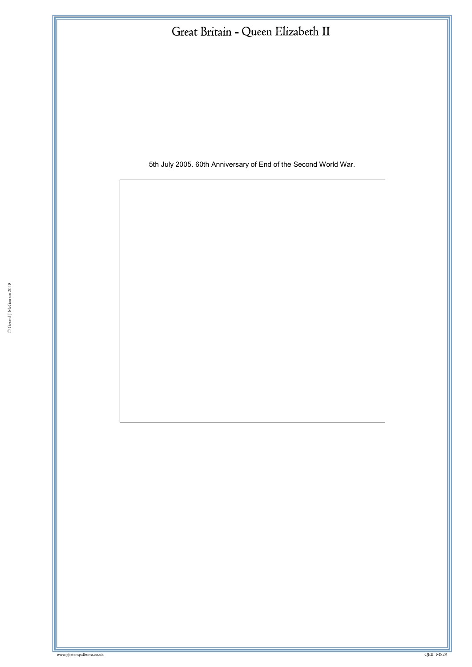5th July 2005. 60th Anniversary of End of the Second World War.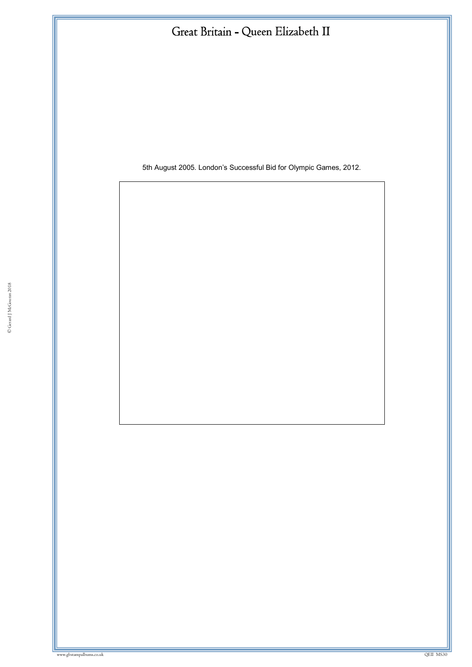5th August 2005. London's Successful Bid for Olympic Games, 2012.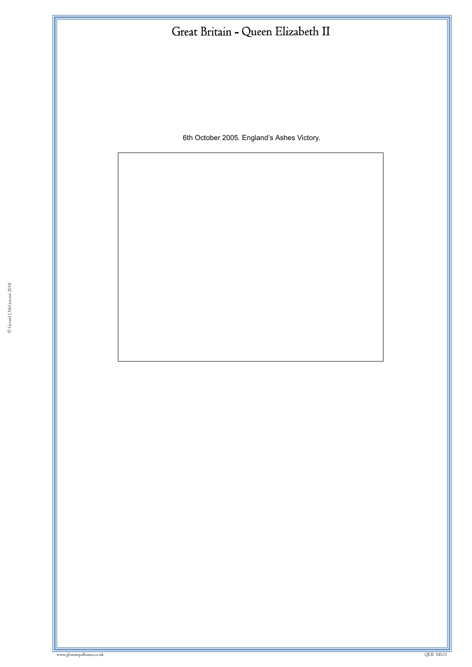6th October 2005. England's Ashes Victory.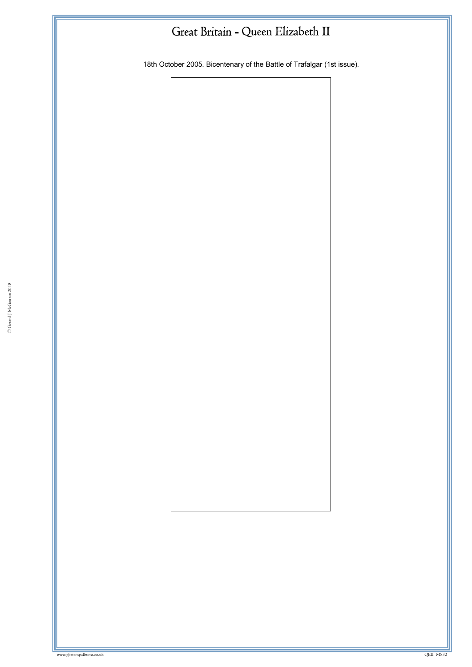18th October 2005. Bicentenary of the Battle of Trafalgar (1st issue).

© Gerard J McGouran 2018

w.gbstampalbums.co.uk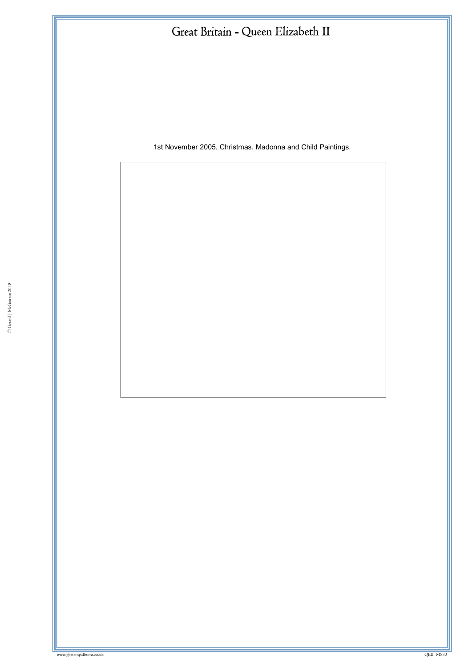1st November 2005. Christmas. Madonna and Child Paintings.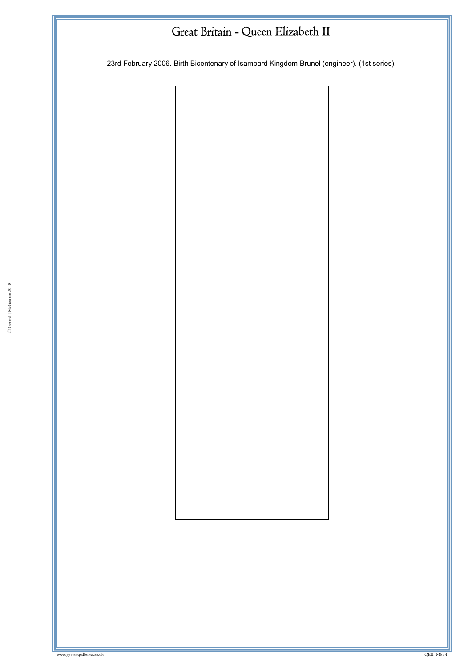23rd February 2006. Birth Bicentenary of Isambard Kingdom Brunel (engineer). (1st series).

© Gerard J McGouran 2018

ww.gbstampalbums.co.uk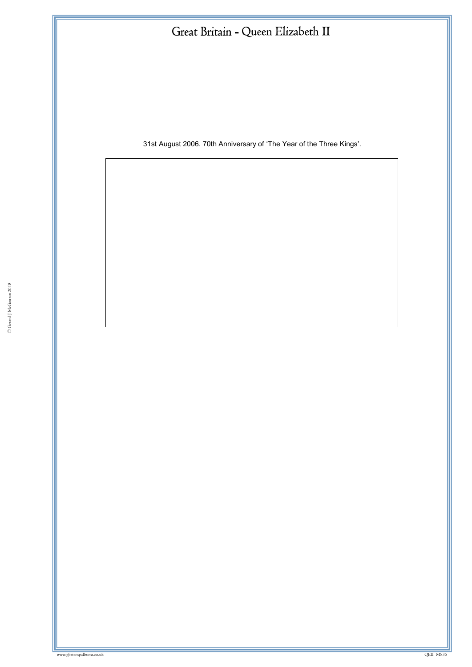31st August 2006. 70th Anniversary of 'The Year of the Three Kings'.

ww.gbstampalbums.co.uk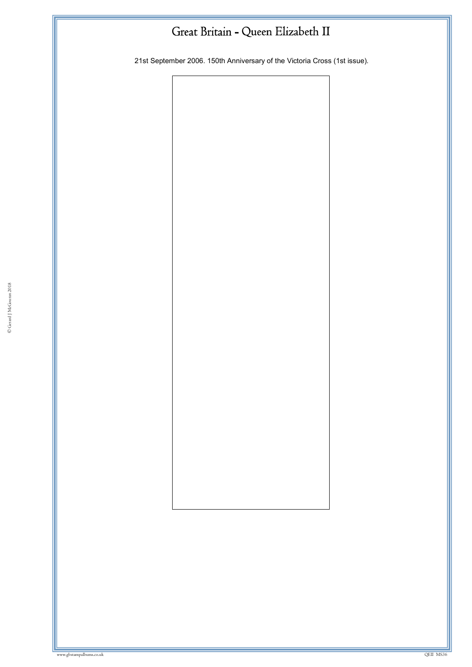21st September 2006. 150th Anniversary of the Victoria Cross (1st issue).

© Gerard J McGouran 2018

where we have a state of the control of the control of the control of the control of the control of the control of the control of the control of the control of the control of the control of the control of the control of th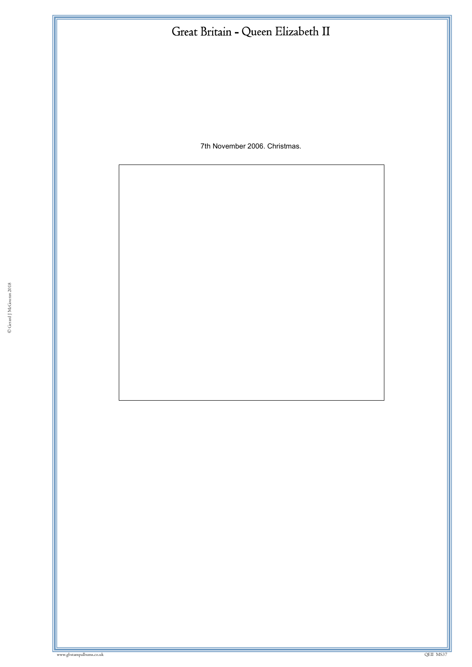7th November 2006. Christmas.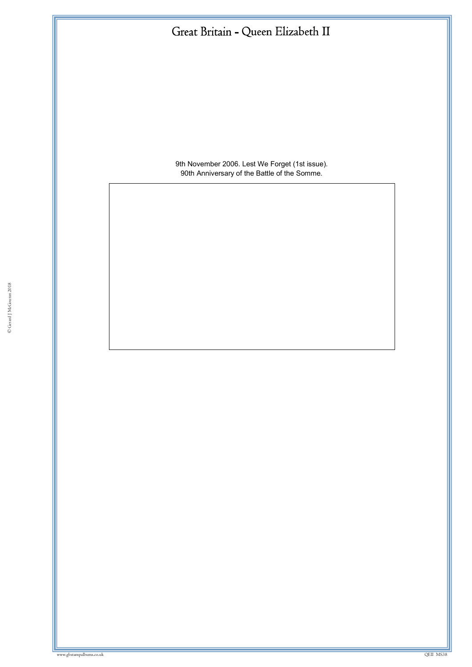

9th November 2006. Lest We Forget (1st issue). 90th Anniversary of the Battle of the Somme.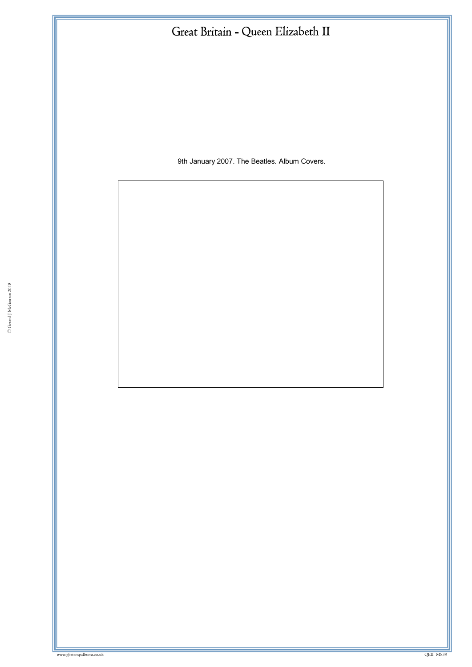9th January 2007. The Beatles. Album Covers.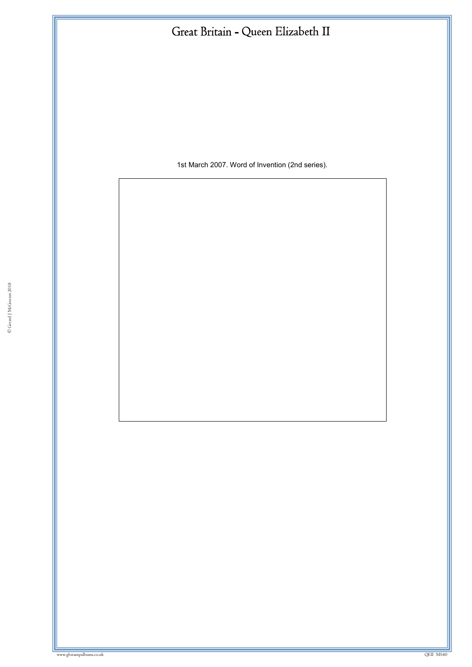1st March 2007. Word of Invention (2nd series).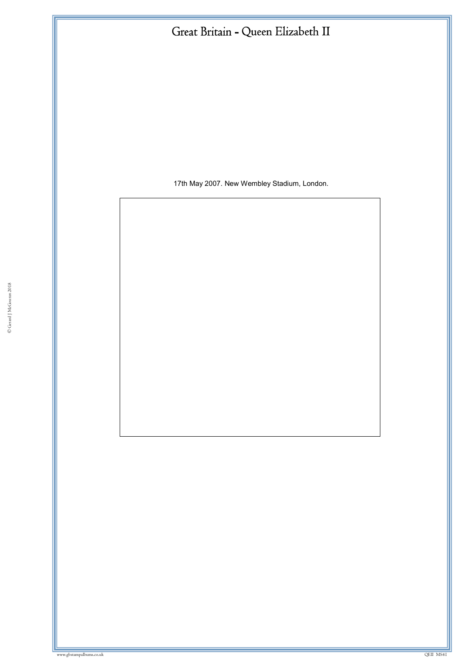17th May 2007. New Wembley Stadium, London.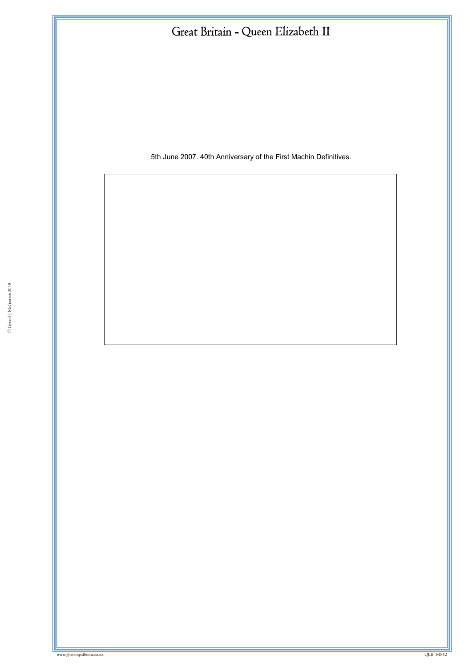5th June 2007. 40th Anniversary of the First Machin Definitives.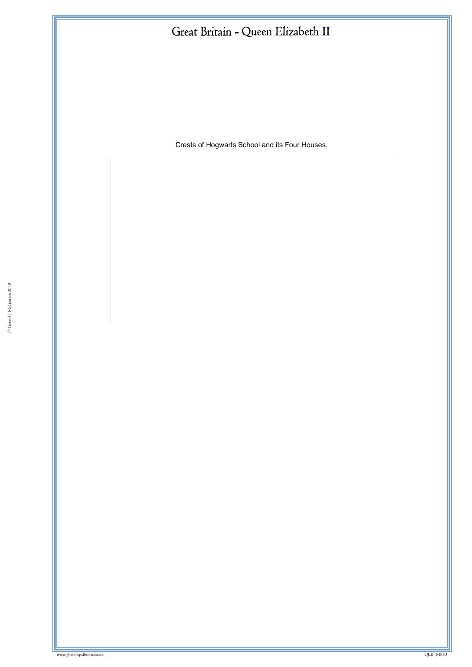Crests of Hogwarts School and its Four Houses.

ww.gbstampalbums.com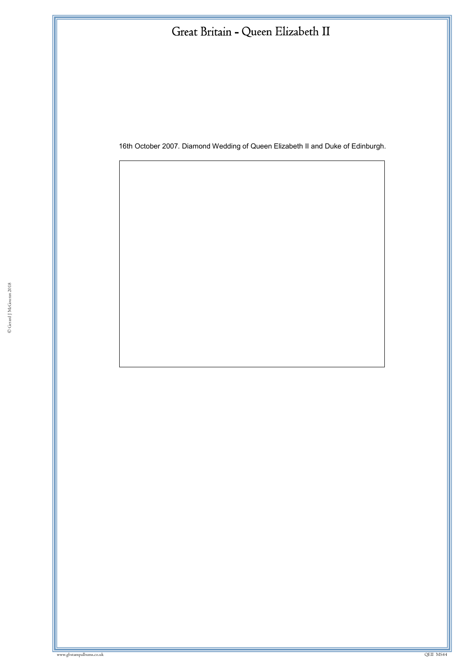16th October 2007. Diamond Wedding of Queen Elizabeth II and Duke of Edinburgh.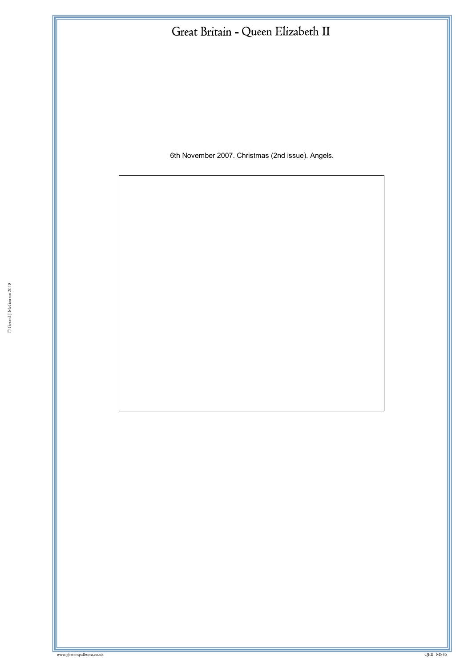6th November 2007. Christmas (2nd issue). Angels.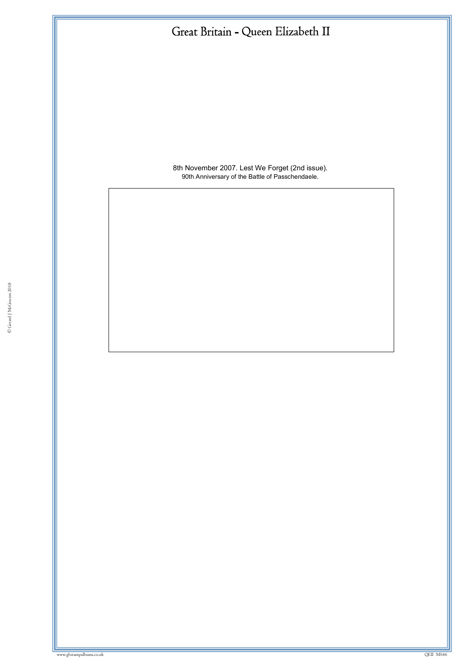

8th November 2007. Lest We Forget (2nd issue). 90th Anniversary of the Battle of Passchendaele.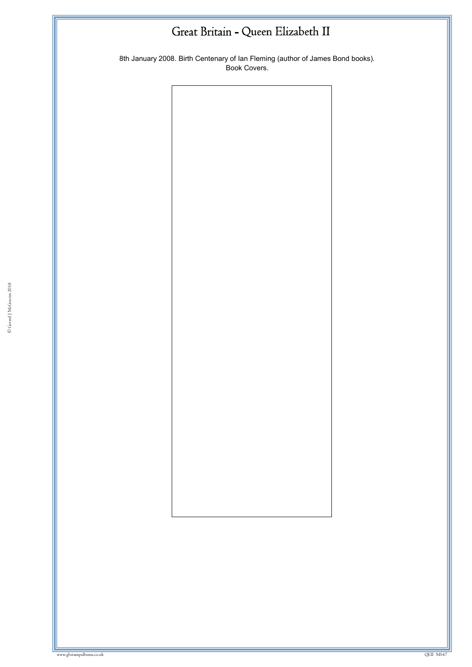8th January 2008. Birth Centenary of Ian Fleming (author of James Bond books). .<br>Book Covers.

© Gerard J McGouran 2018

w.gbstampalbums.co.uk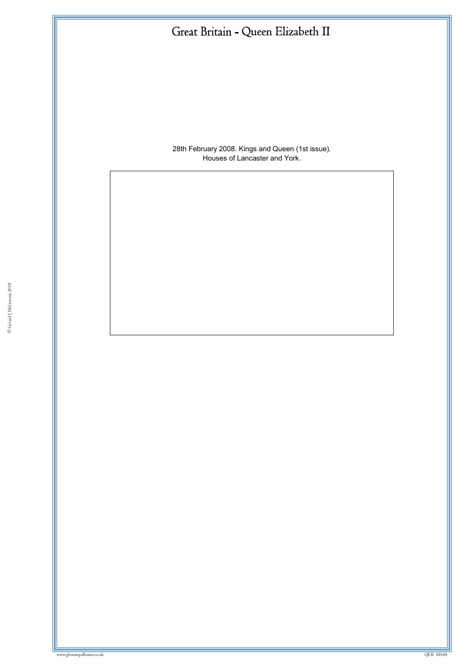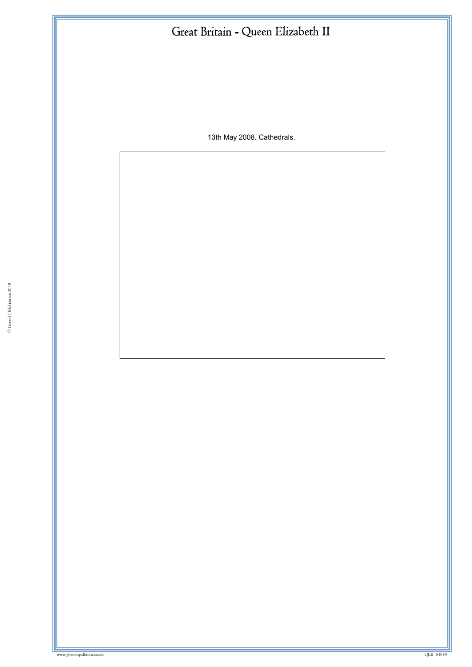13th May 2008. Cathedrals.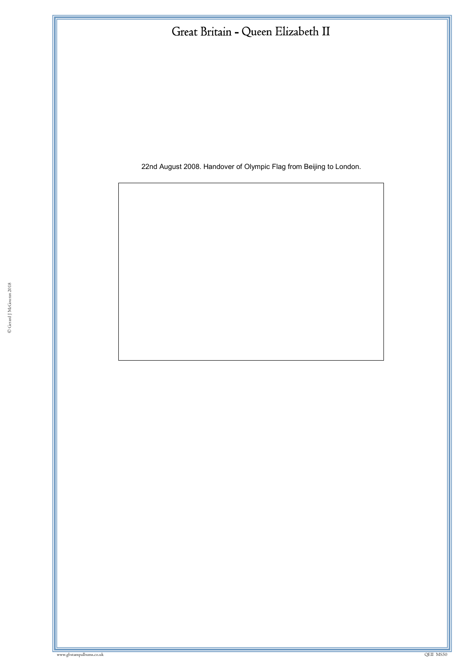22nd August 2008. Handover of Olympic Flag from Beijing to London.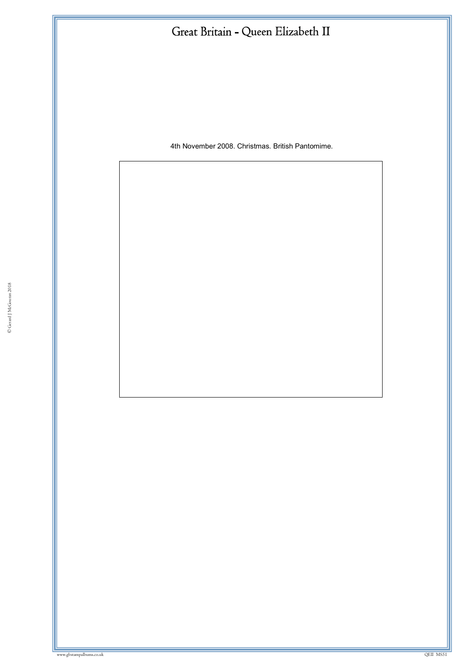4th November 2008. Christmas. British Pantomime.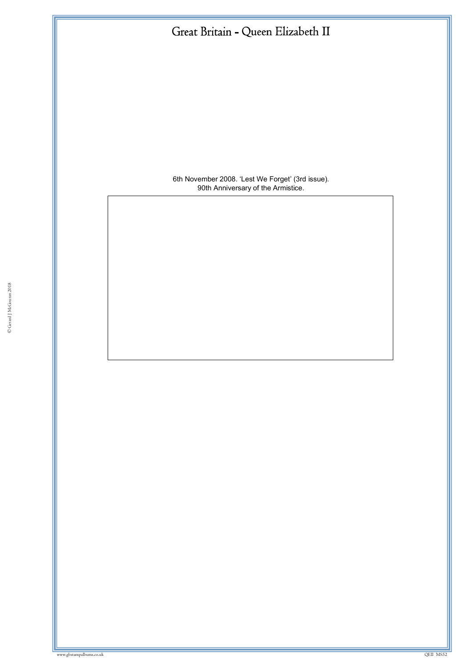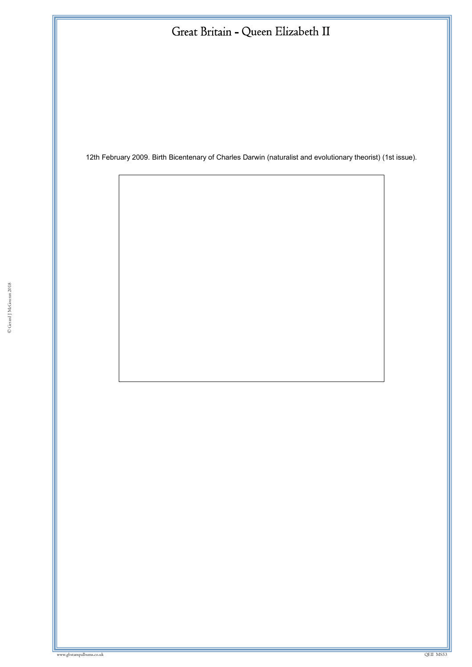12th February 2009. Birth Bicentenary of Charles Darwin (naturalist and evolutionary theorist) (1st issue).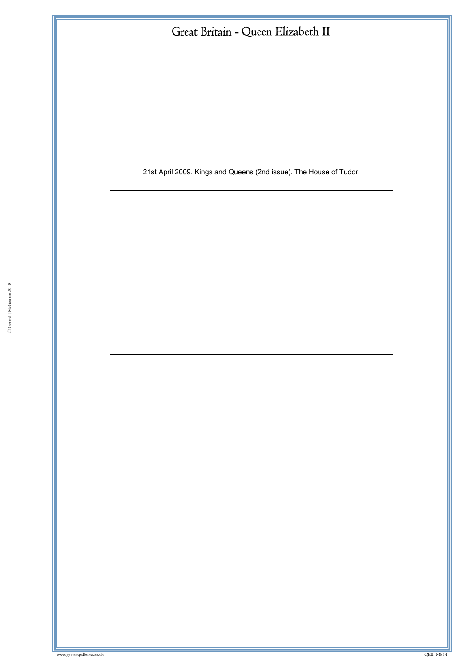21st April 2009. Kings and Queens (2nd issue). The House of Tudor.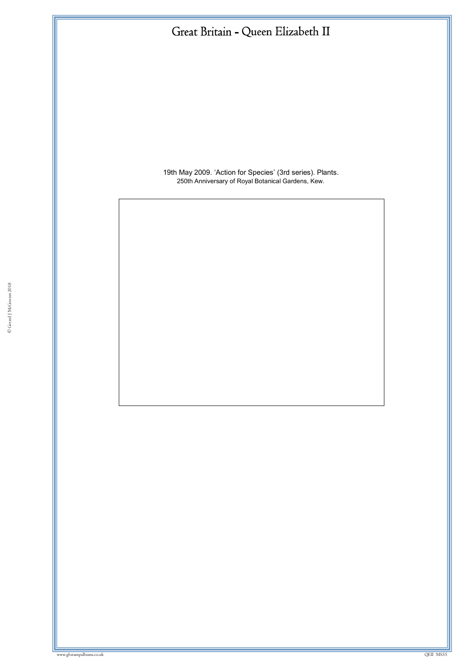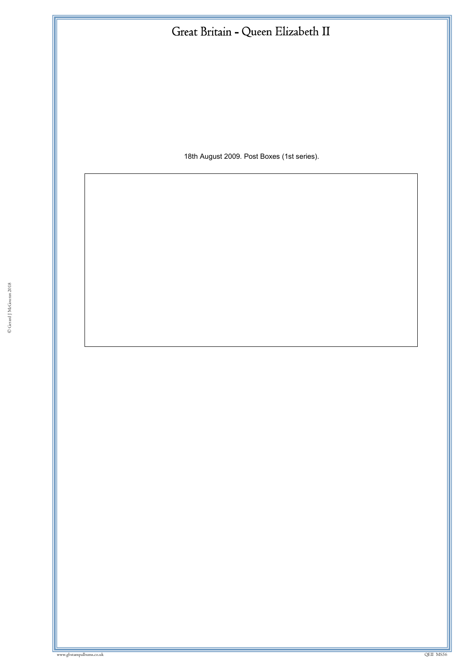18th August 2009. Post Boxes (1st series).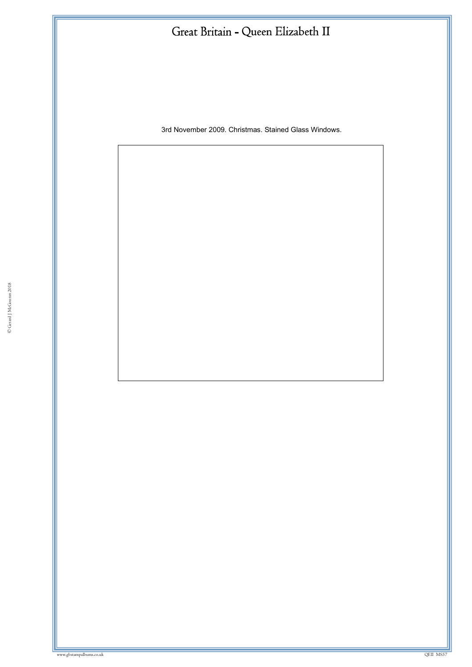3rd November 2009. Christmas. Stained Glass Windows.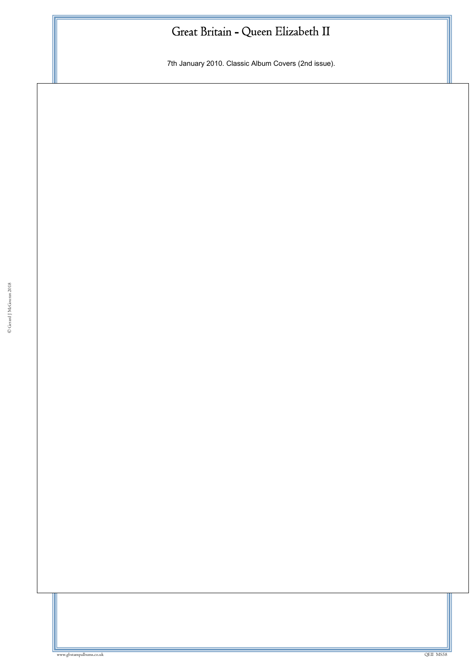7th January 2010. Classic Album Covers (2nd issue).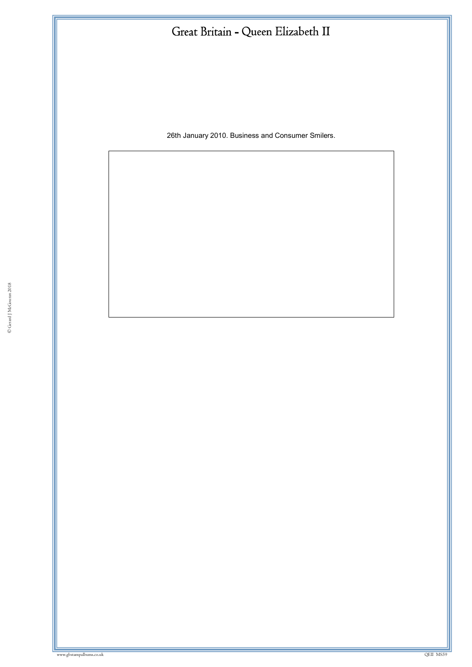26th January 2010. Business and Consumer Smilers.

ww.gbstampalbums.co.uk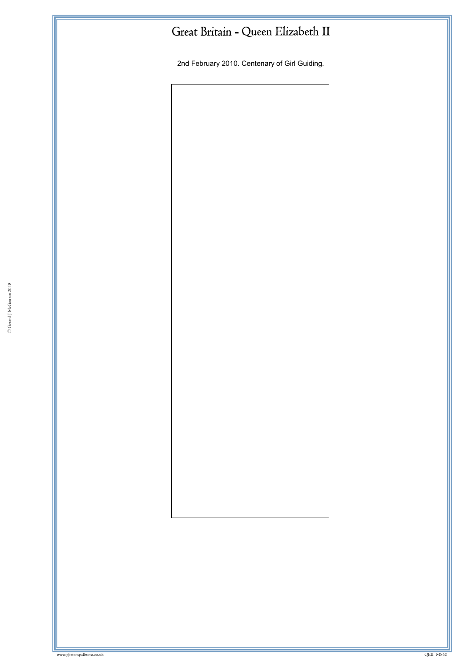2nd February 2010. Centenary of Girl Guiding.

© Gerard J McGouran 2018

where we have a state of the state of the state of the state of the state of the state of the state of the state of the state of the state of the state of the state of the state of the state of the state of the state of th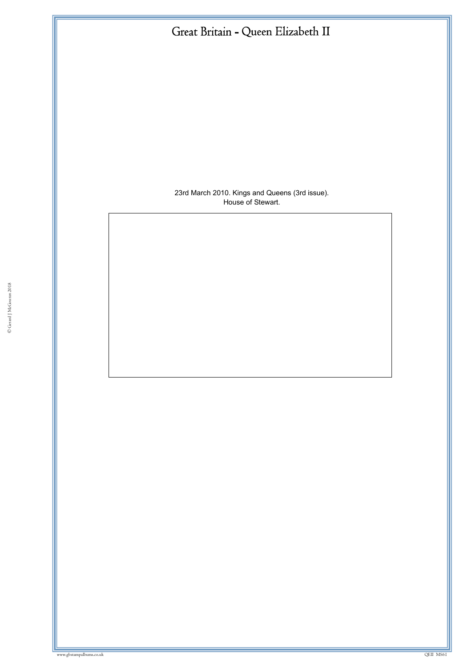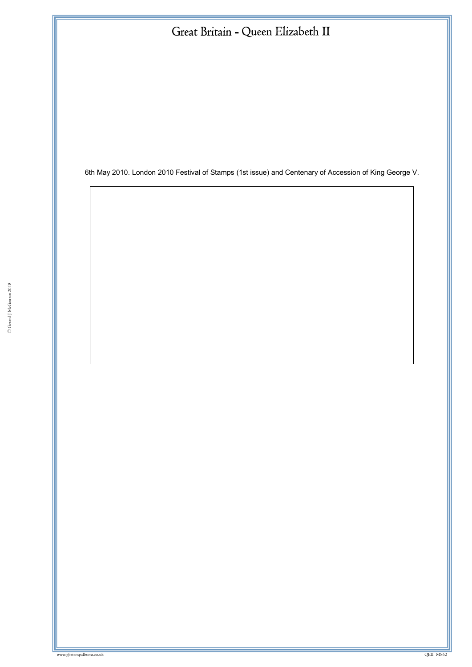6th May 2010. London 2010 Festival of Stamps (1st issue) and Centenary of Accession of King George V.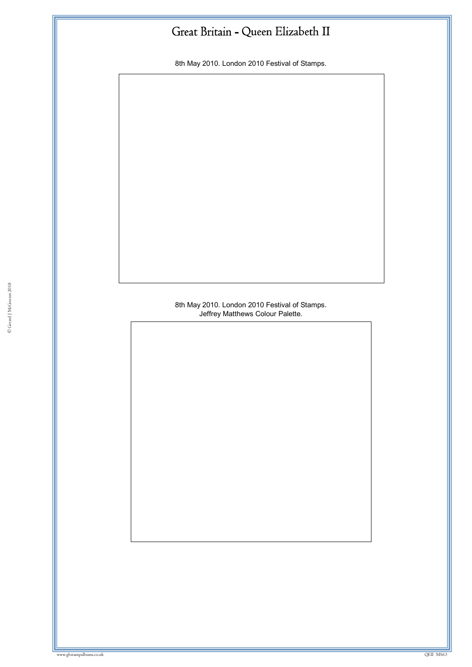8th May 2010. London 2010 Festival of Stamps.

#### Jeffrey Matthews Colour Palette.<br>Exercise of the Matthews Colour Palette. 8th May 2010. London 2010 Festival of Stamps.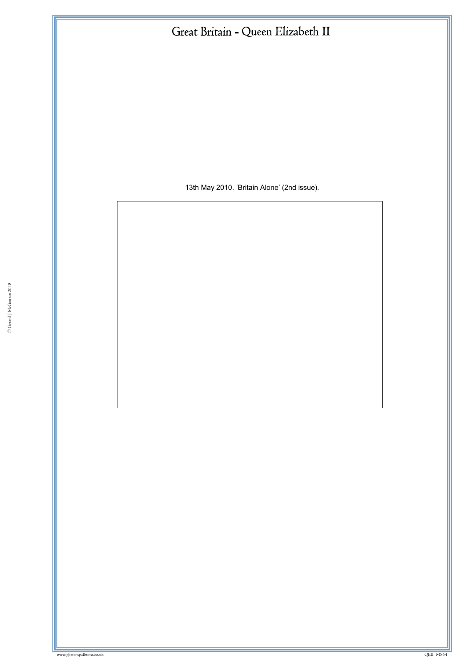13th May 2010. 'Britain Alone' (2nd issue).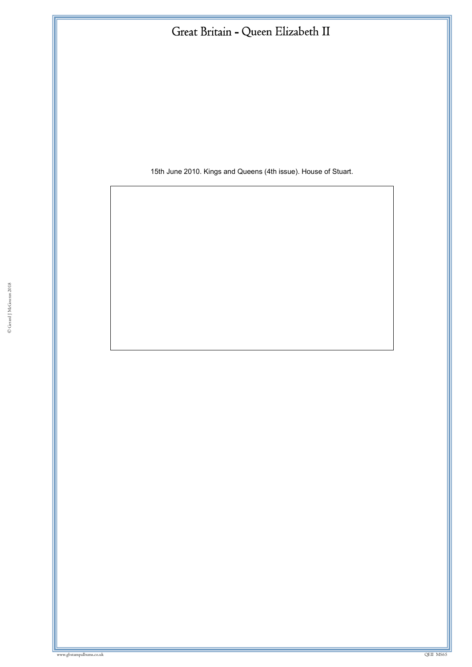15th June 2010. Kings and Queens (4th issue). House of Stuart.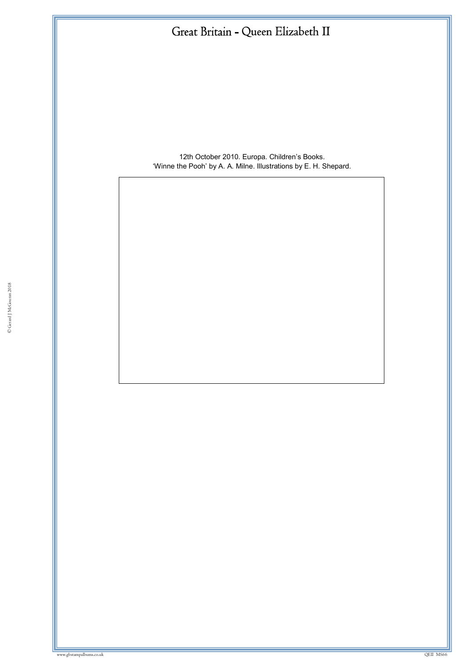12th October 2010. Europa. Children's Books. 'Winne the Pooh' by A. A. Milne. Illustrations by E. H. Shepard.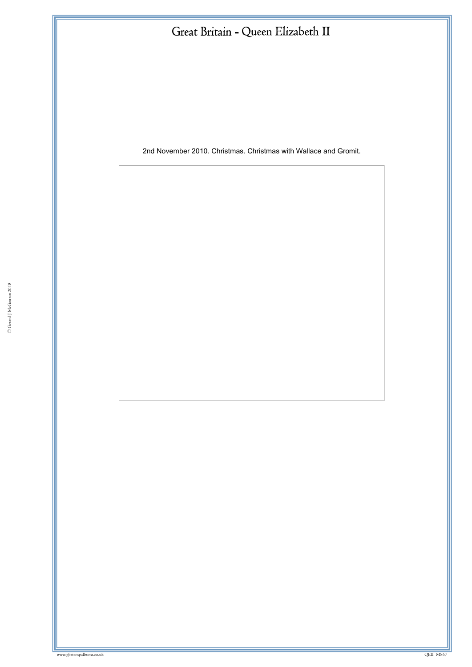2nd November 2010. Christmas. Christmas with Wallace and Gromit.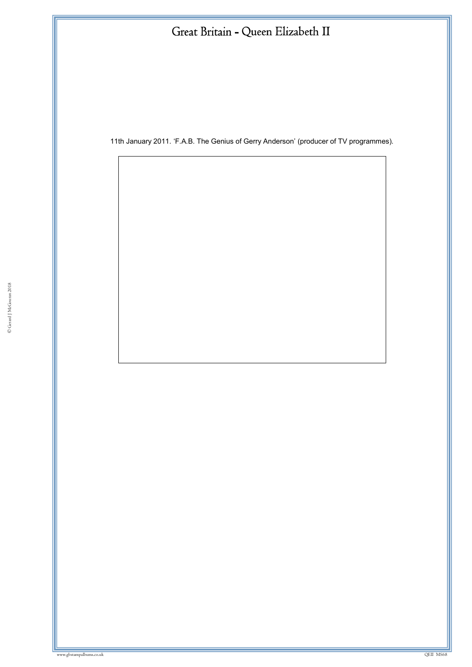11th January 2011. 'F.A.B. The Genius of Gerry Anderson' (producer of TV programmes).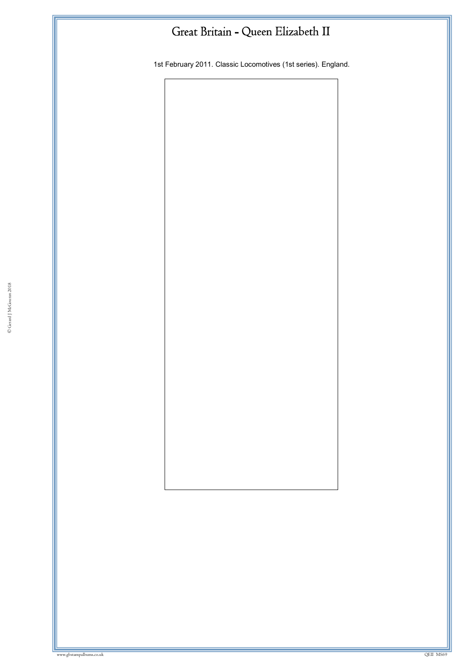1st February 2011. Classic Locomotives (1st series). England.

© Gerard J McGouran 2018

ww.gbstampalbums.com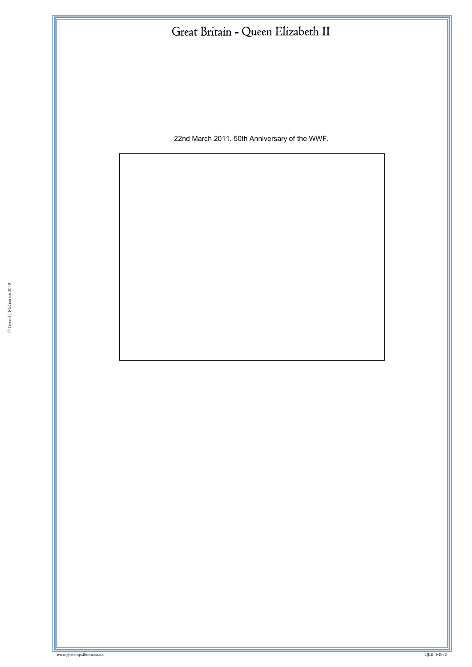22nd March 2011. 50th Anniversary of the WWF.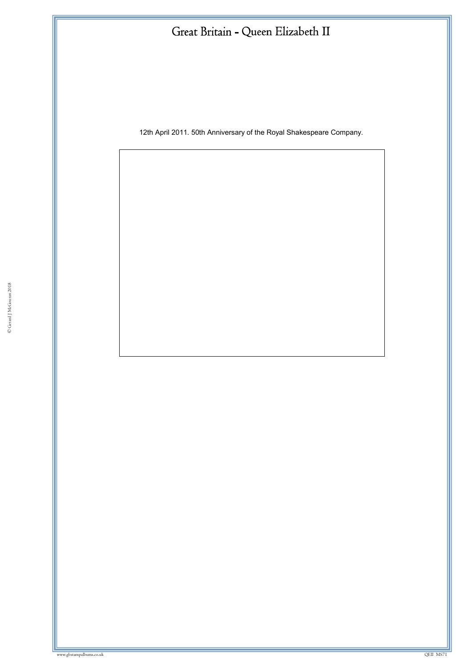12th April 2011. 50th Anniversary of the Royal Shakespeare Company.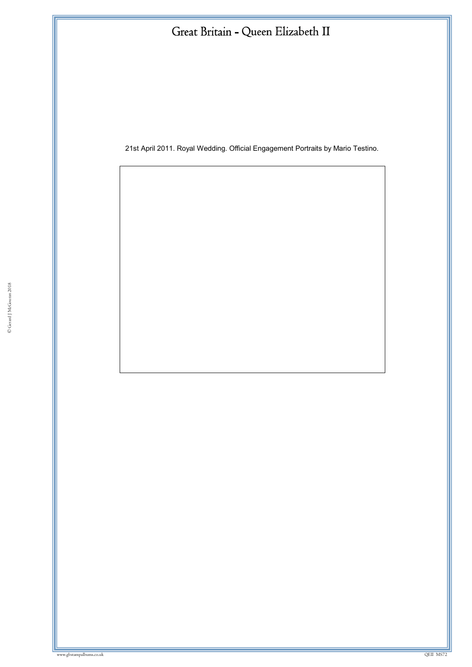21st April 2011. Royal Wedding. Official Engagement Portraits by Mario Testino.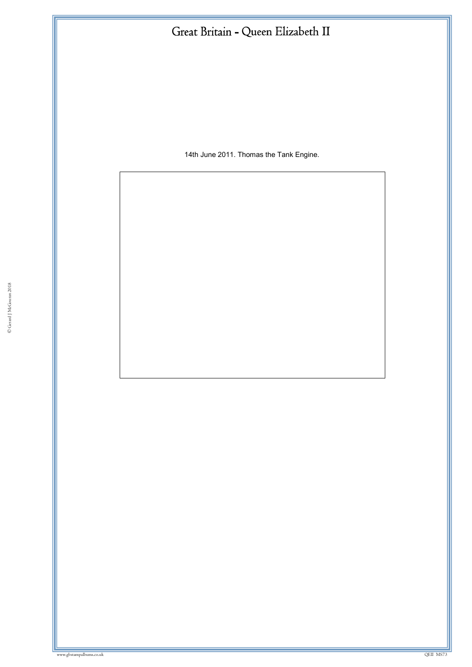14th June 2011. Thomas the Tank Engine.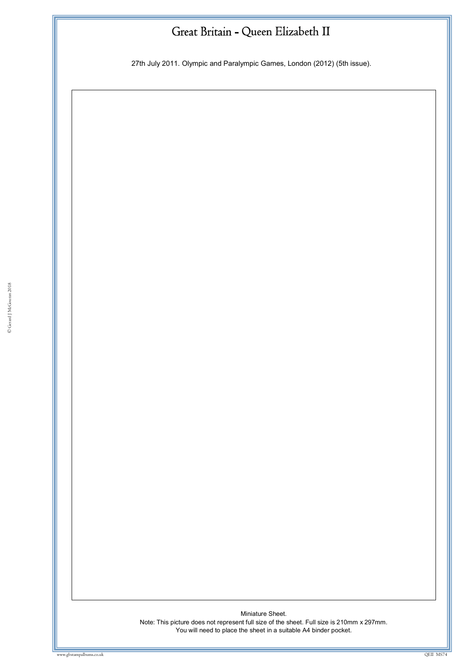27th July 2011. Olympic and Paralympic Games, London (2012) (5th issue).

Miniature Sheet. Note: This picture does not represent full size of the sheet. Full size is 210mm x 297mm. You will need to place the sheet in a suitable A4 binder pocket.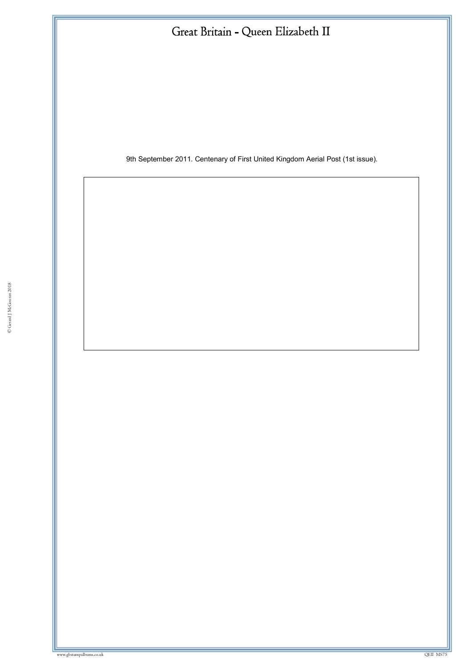9th September 2011. Centenary of First United Kingdom Aerial Post (1st issue).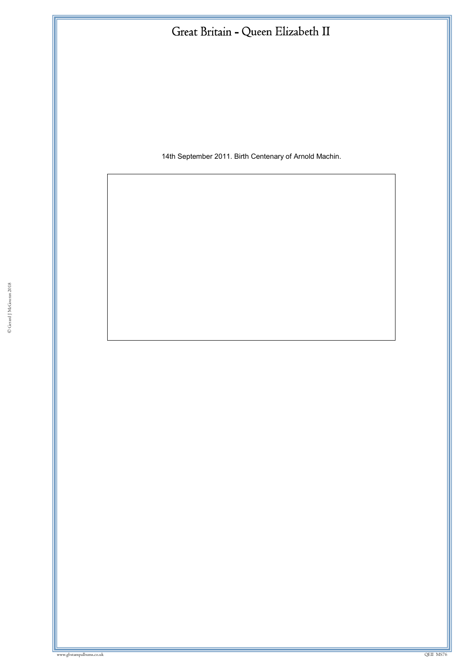14th September 2011. Birth Centenary of Arnold Machin.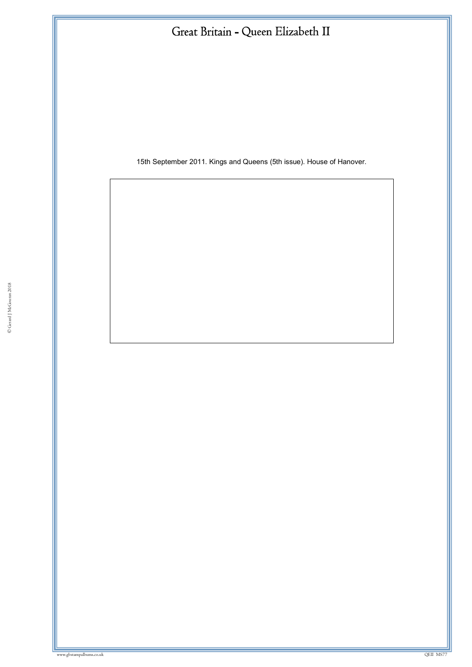15th September 2011. Kings and Queens (5th issue). House of Hanover.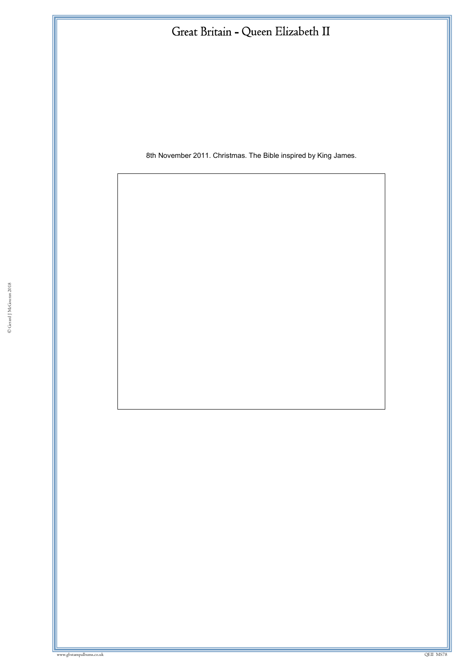8th November 2011. Christmas. The Bible inspired by King James.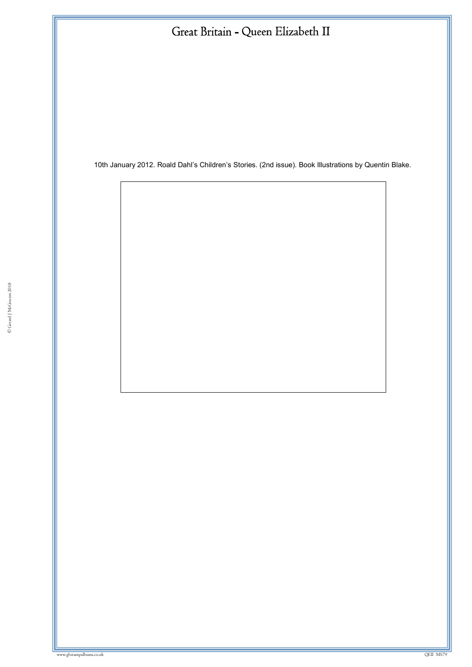10th January 2012. Roald Dahl's Children's Stories. (2nd issue). Book Illustrations by Quentin Blake.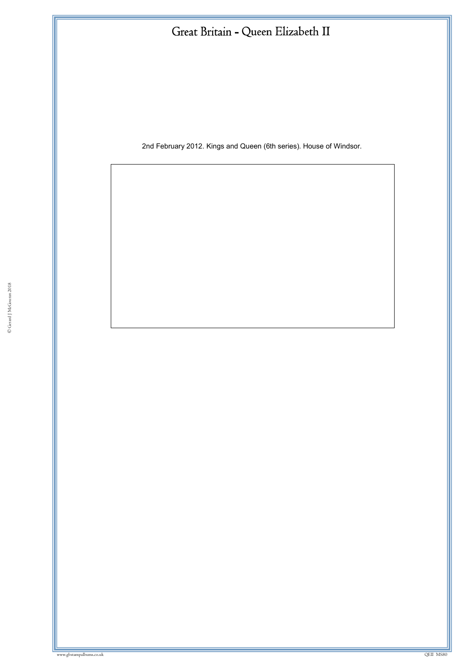2nd February 2012. Kings and Queen (6th series). House of Windsor.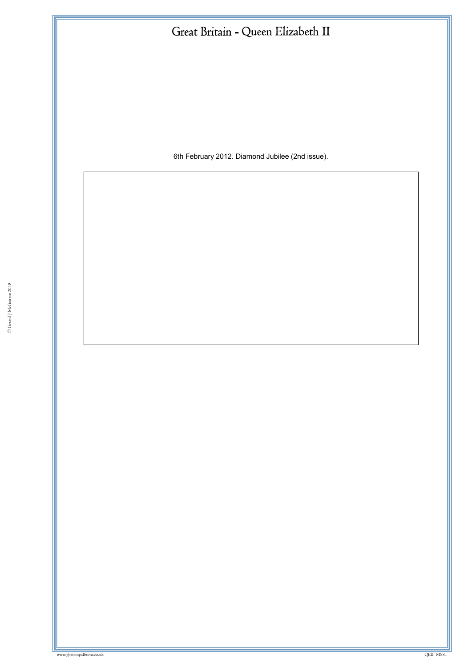6th February 2012. Diamond Jubilee (2nd issue).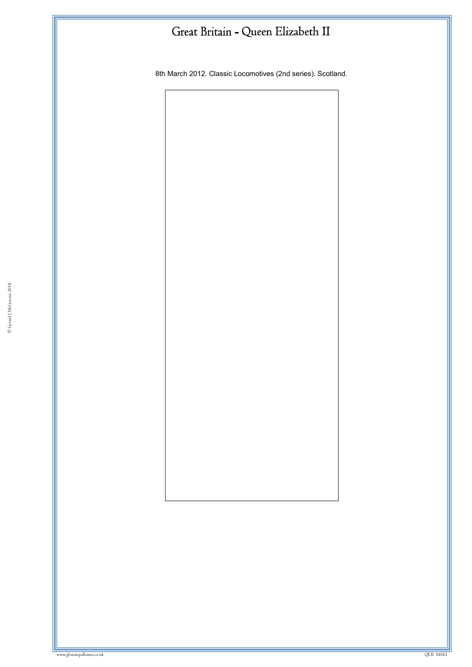8th March 2012. Classic Locomotives (2nd series). Scotland.

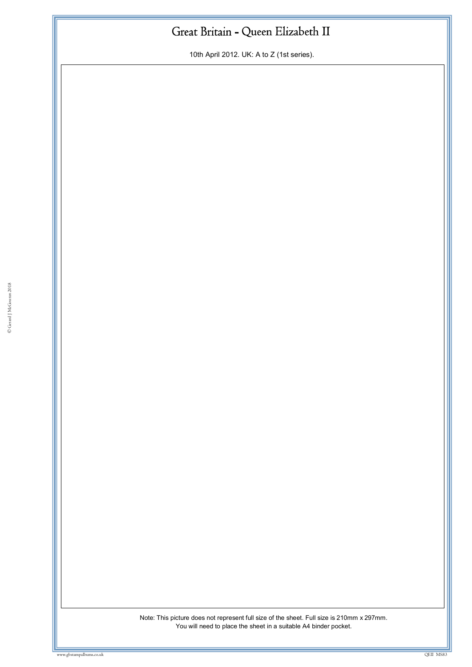10th April 2012. UK: A to Z (1st series).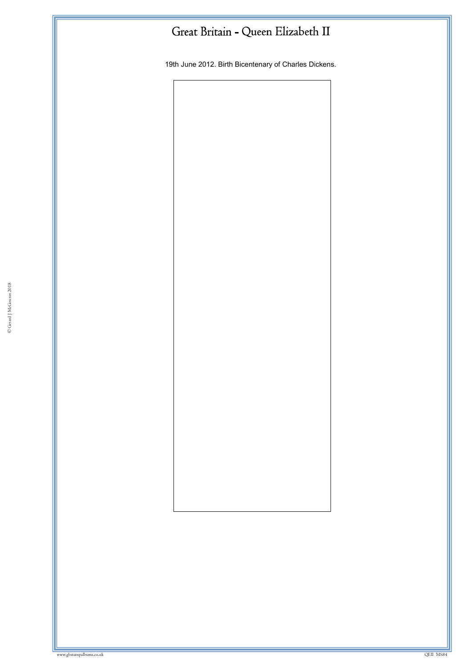19th June 2012. Birth Bicentenary of Charles Dickens.

© Gerard J McGouran 2018

w.gbstampalbums.co.uk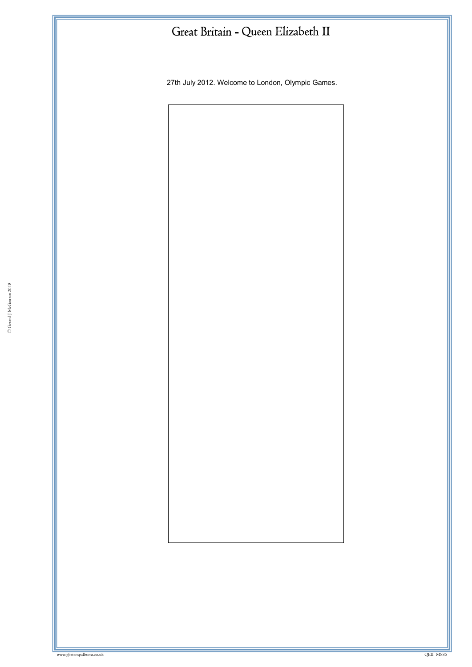27th July 2012. Welcome to London, Olympic Games.

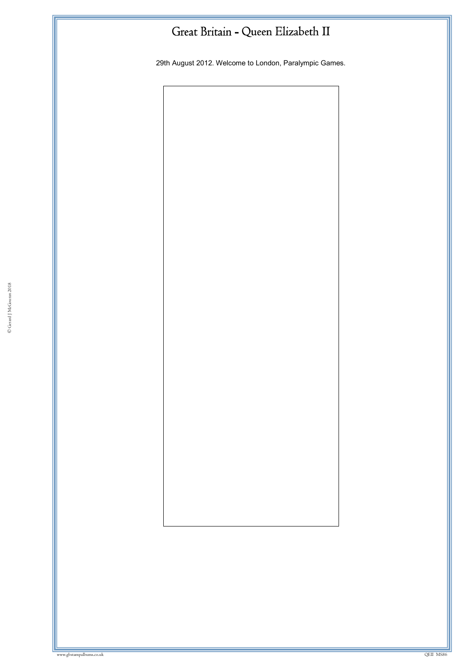29th August 2012. Welcome to London, Paralympic Games.

© Gerard J McGouran 2018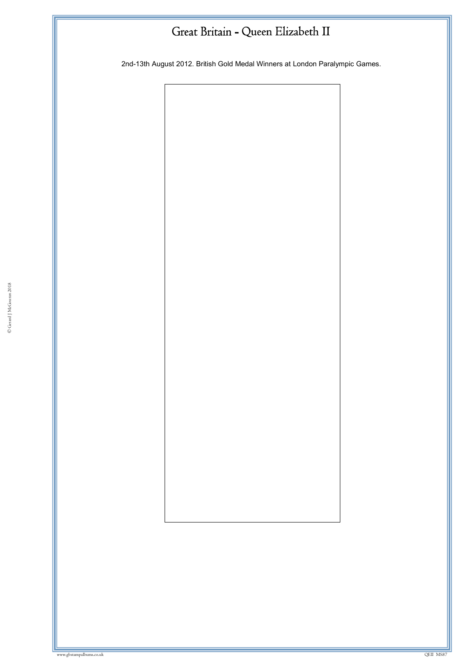2nd-13th August 2012. British Gold Medal Winners at London Paralympic Games.

© Gerard J McGouran 2018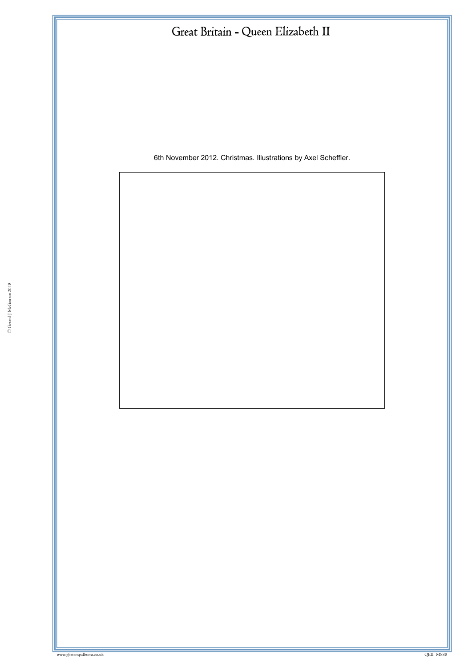6th November 2012. Christmas. Illustrations by Axel Scheffler.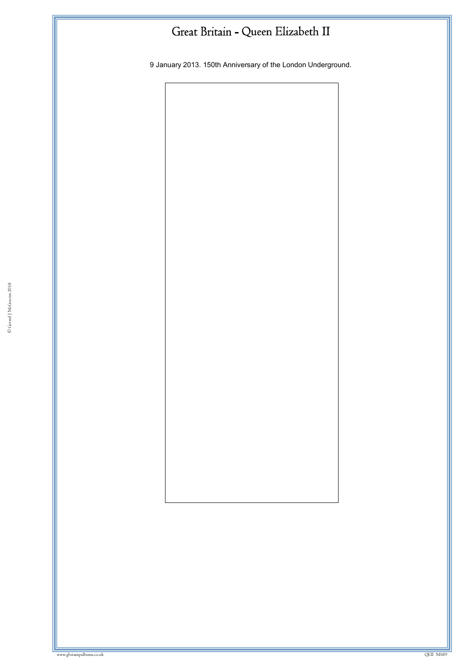9 January 2013. 150th Anniversary of the London Underground.

© Gerard J McGouran 2018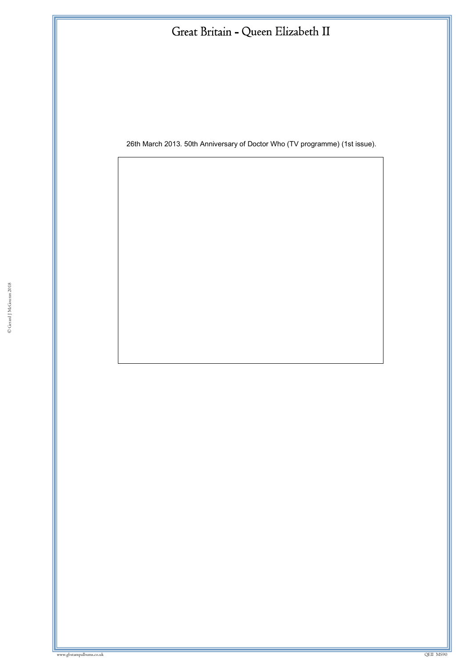26th March 2013. 50th Anniversary of Doctor Who (TV programme) (1st issue).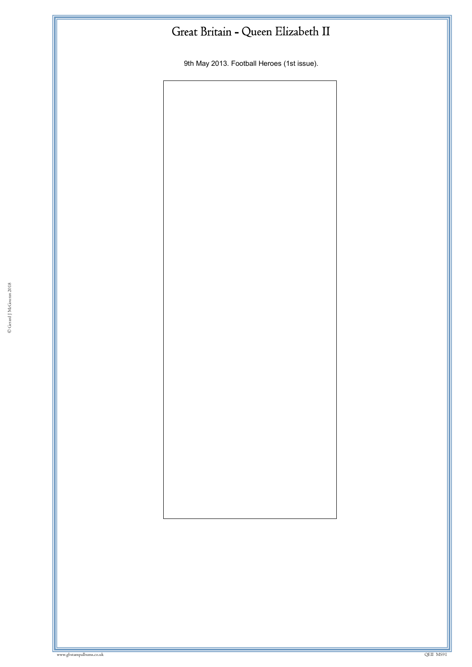9th May 2013. Football Heroes (1st issue).

© Gerard J McGouran 2018

where we have a state of the state of the state of the state of the state of the state of the state of the state of the state of the state of the state of the state of the state of the state of the state of the state of th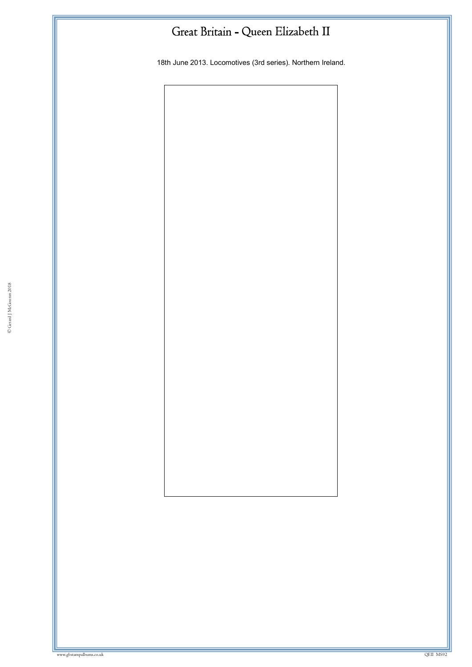18th June 2013. Locomotives (3rd series). Northern Ireland.

© Gerard J McGouran 2018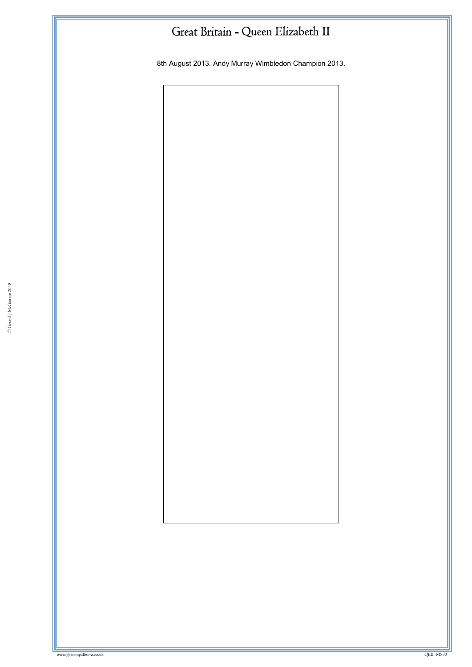8th August 2013. Andy Murray Wimbledon Champion 2013.

© Gerard J McGouran 2018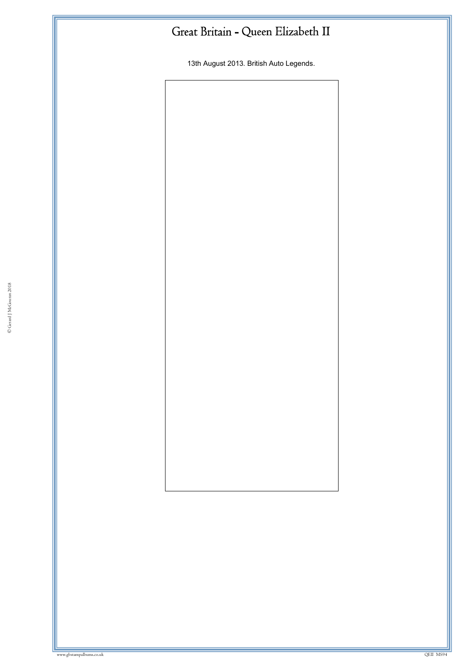13th August 2013. British Auto Legends.

© Gerard J McGouran 2018

ww.gbstampalbums.co.uk

www.gbstampalbums.co.uk QEII MS94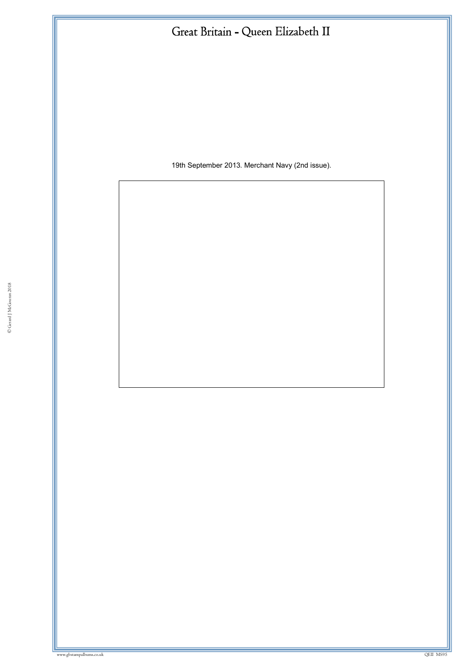19th September 2013. Merchant Navy (2nd issue).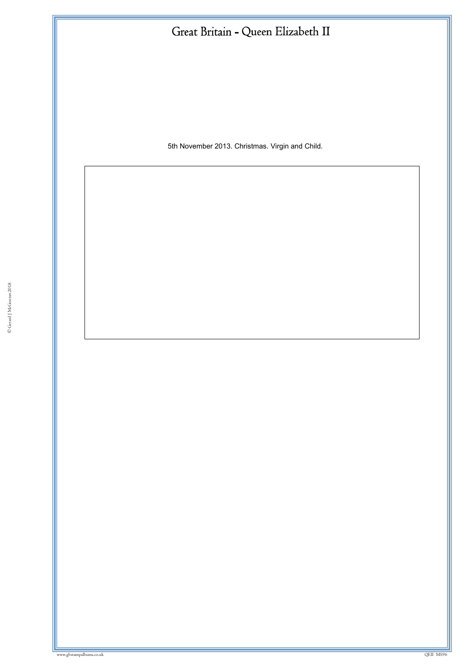5th November 2013. Christmas. Virgin and Child.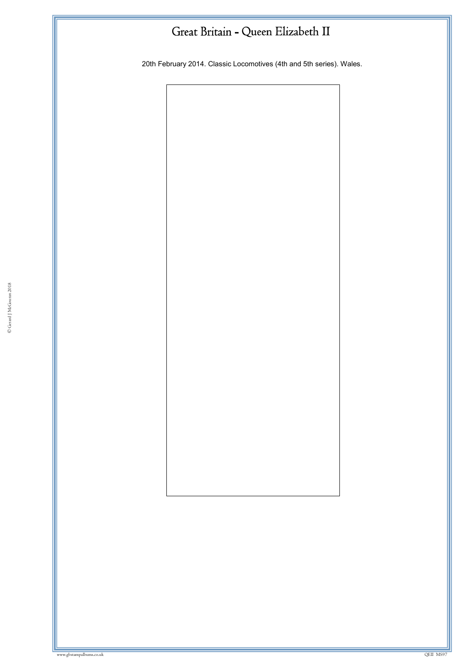20th February 2014. Classic Locomotives (4th and 5th series). Wales.

© Gerard J McGouran 2018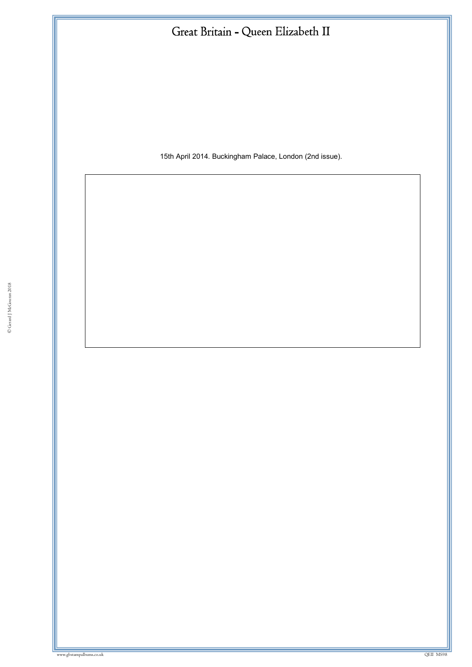15th April 2014. Buckingham Palace, London (2nd issue).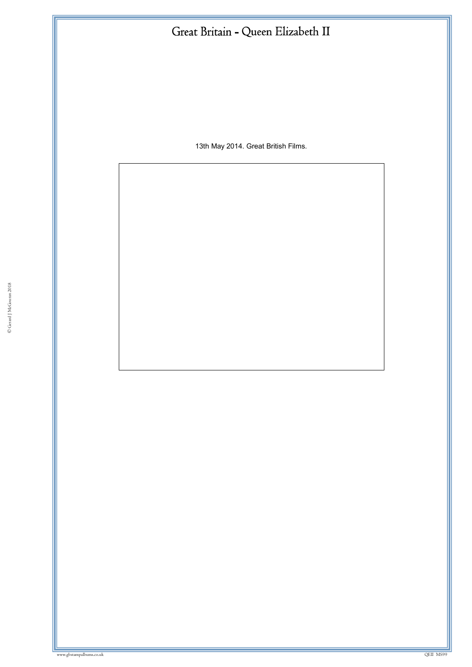13th May 2014. Great British Films.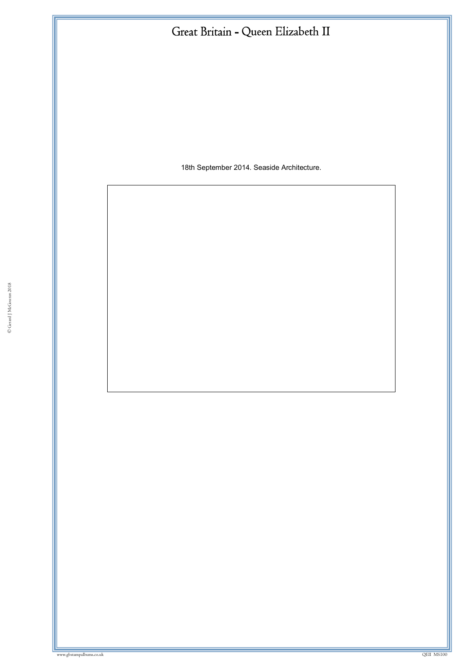18th September 2014. Seaside Architecture.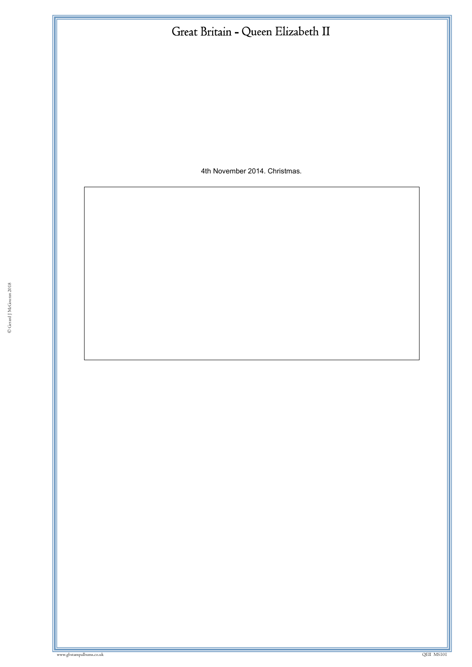4th November 2014. Christmas.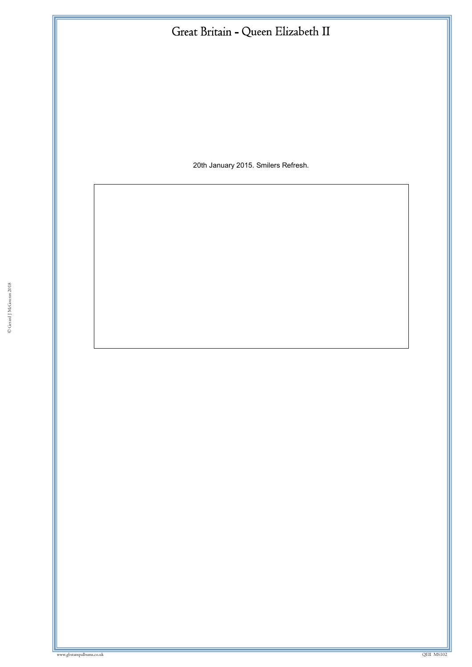20th January 2015. Smilers Refresh.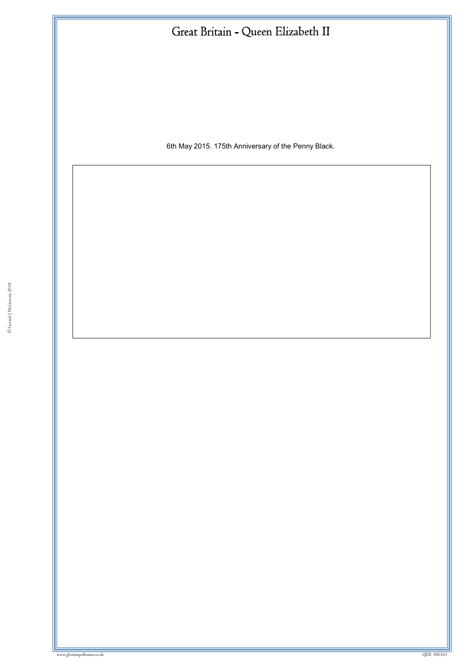| Great Britain - Queen Elizabeth II                  |
|-----------------------------------------------------|
|                                                     |
|                                                     |
|                                                     |
|                                                     |
| 6th May 2015. 175th Anniversary of the Penny Black. |
|                                                     |
|                                                     |
|                                                     |
|                                                     |
|                                                     |
|                                                     |
|                                                     |
|                                                     |
|                                                     |
|                                                     |
|                                                     |
|                                                     |
|                                                     |
|                                                     |
|                                                     |
|                                                     |
|                                                     |
|                                                     |
|                                                     |
|                                                     |
|                                                     |
|                                                     |
|                                                     |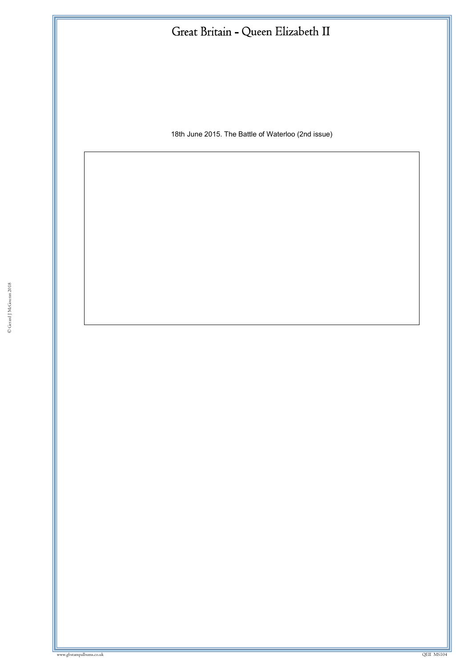18th June 2015. The Battle of Waterloo (2nd issue)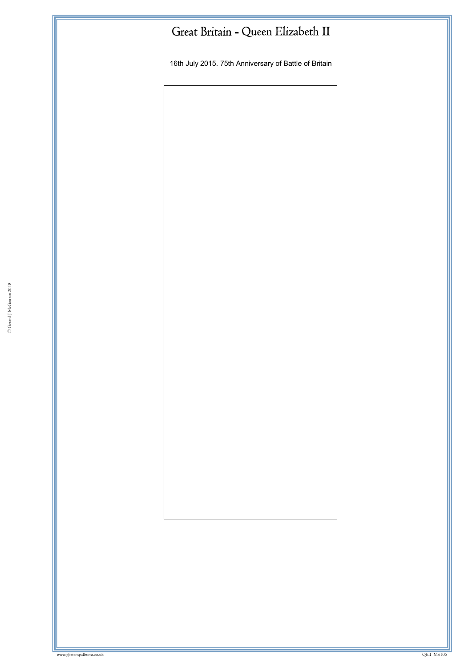16th July 2015. 75th Anniversary of Battle of Britain

© Gerard J McGouran 2018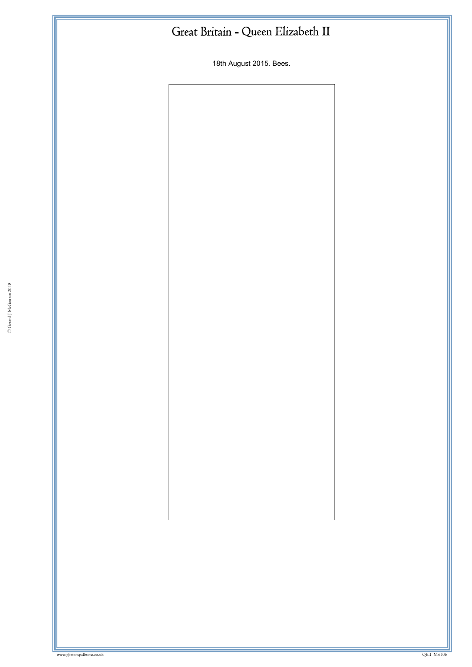18th August 2015. Bees.

© Gerard J McGouran 2018

where we have a state of the state of the state of the state of the state of the state of the state of the state of the state of the state of the state of the state of the state of the state of the state of the state of th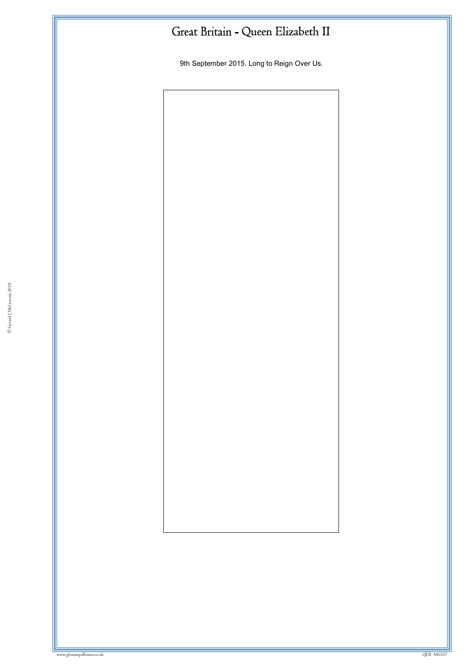9th September 2015. Long to Reign Over Us.

© Gerard J McGouran 2018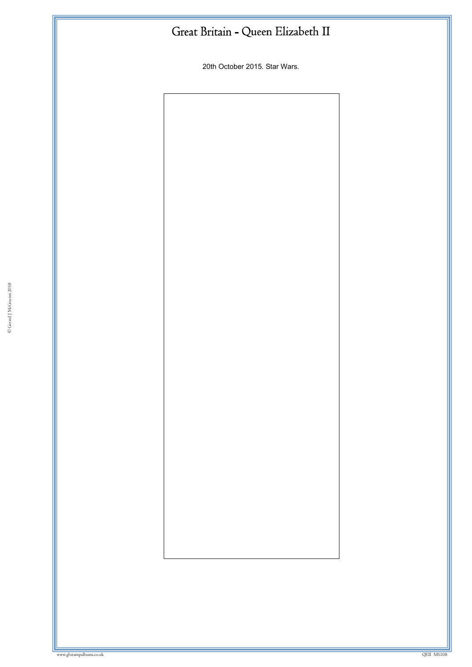20th October 2015. Star Wars.

© Gerard J McGouran 2018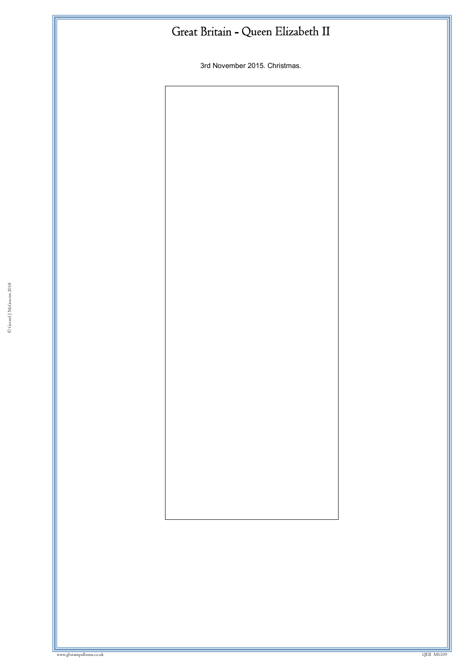3rd November 2015. Christmas.

© Gerard J McGouran 2018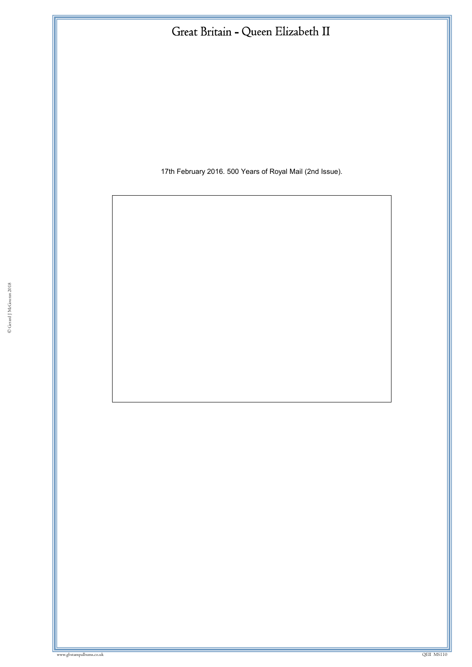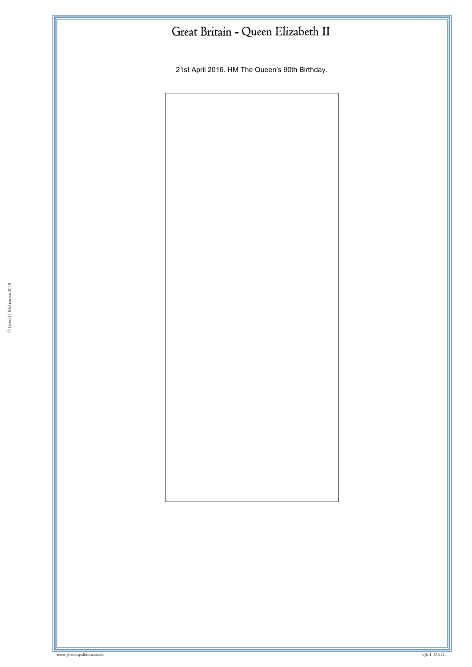21st April 2016. HM The Queen's 90th Birthday.

© Gerard J McGouran 2018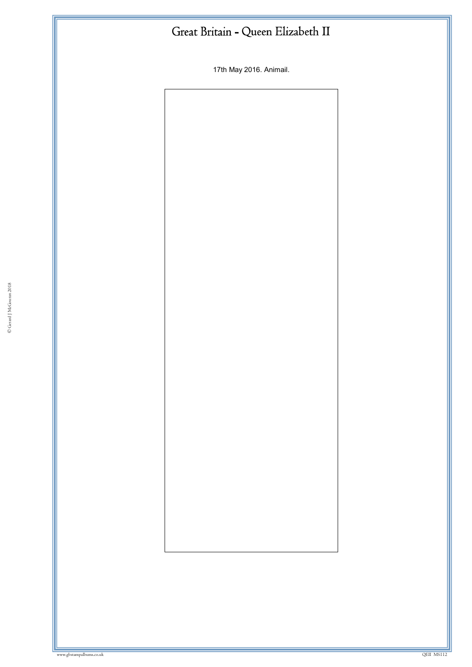17th May 2016. Animail.

© Gerard J McGouran 2018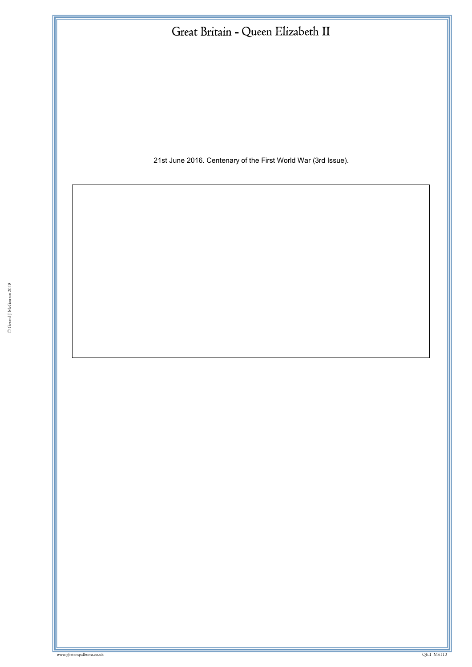| Great Britain - Queen Elizabeth II                            |
|---------------------------------------------------------------|
|                                                               |
|                                                               |
|                                                               |
|                                                               |
| 21st June 2016. Centenary of the First World War (3rd Issue). |
|                                                               |
|                                                               |
|                                                               |
|                                                               |
|                                                               |
|                                                               |
|                                                               |
|                                                               |
|                                                               |
|                                                               |
|                                                               |
|                                                               |
|                                                               |
|                                                               |
|                                                               |
|                                                               |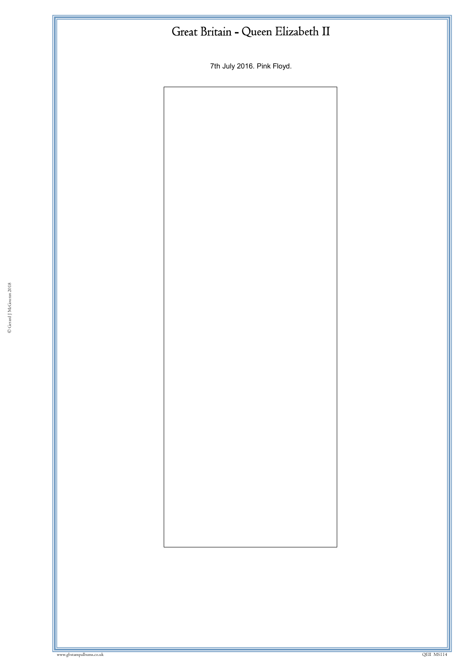7th July 2016. Pink Floyd.

© Gerard J McGouran 2018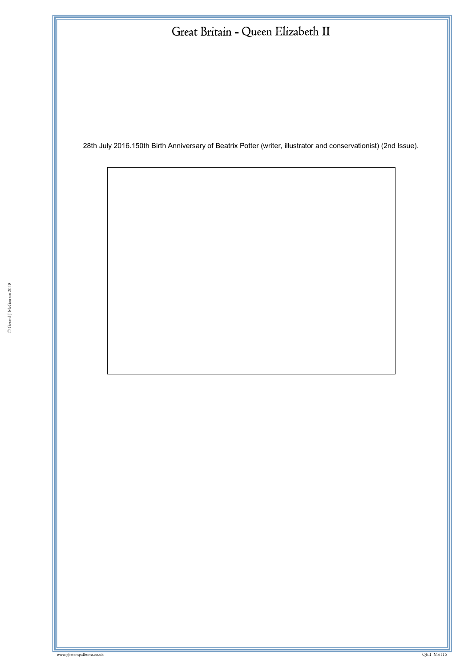28th July 2016.150th Birth Anniversary of Beatrix Potter (writer, illustrator and conservationist) (2nd Issue).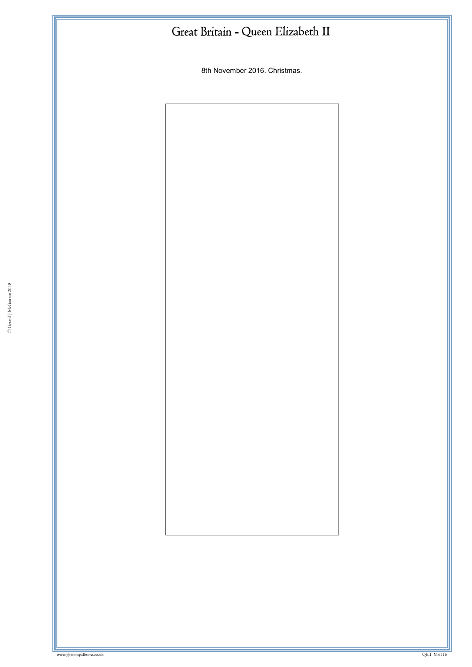8th November 2016. Christmas.

© Gerard J McGouran 2018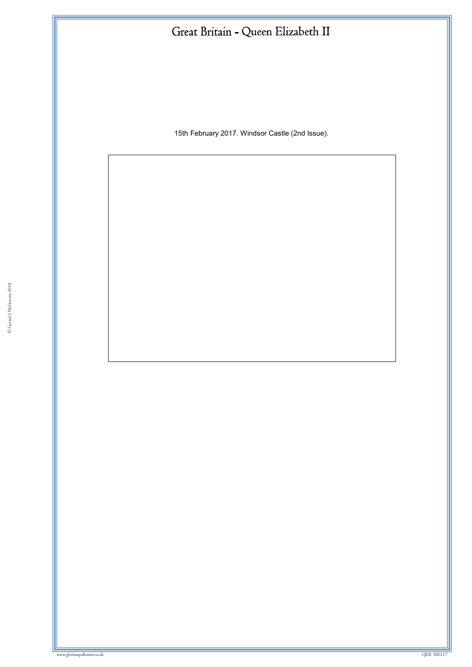15th February 2017. Windsor Castle (2nd Issue).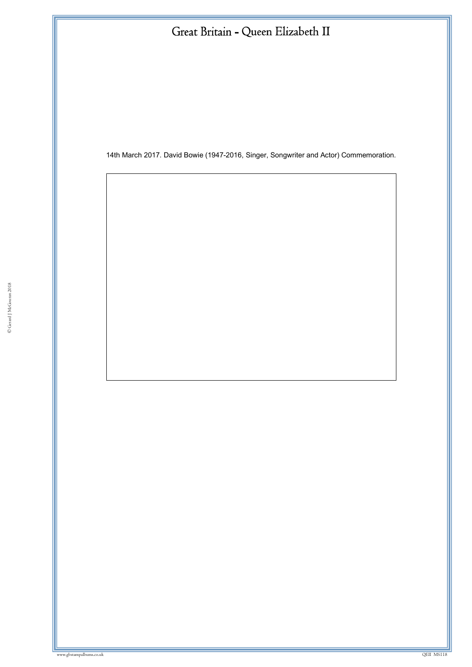14th March 2017. David Bowie (1947-2016, Singer, Songwriter and Actor) Commemoration.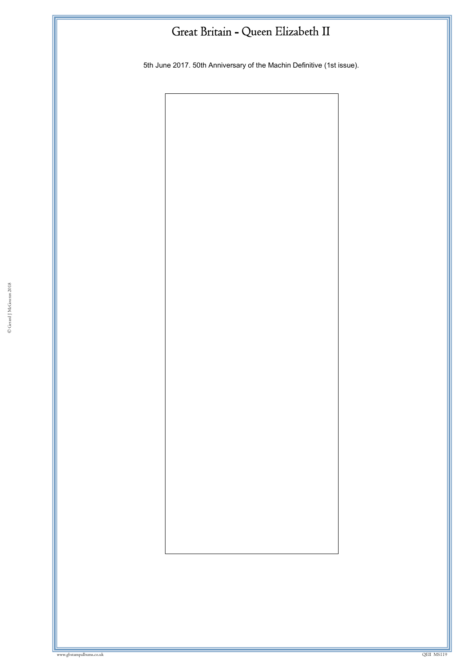5th June 2017. 50th Anniversary of the Machin Definitive (1st issue).

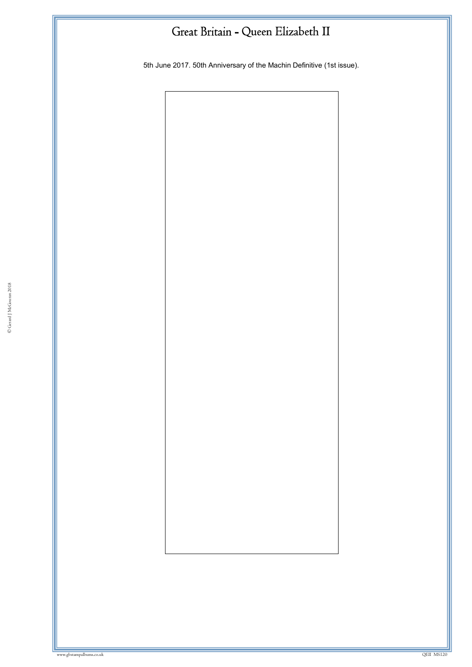5th June 2017. 50th Anniversary of the Machin Definitive (1st issue).

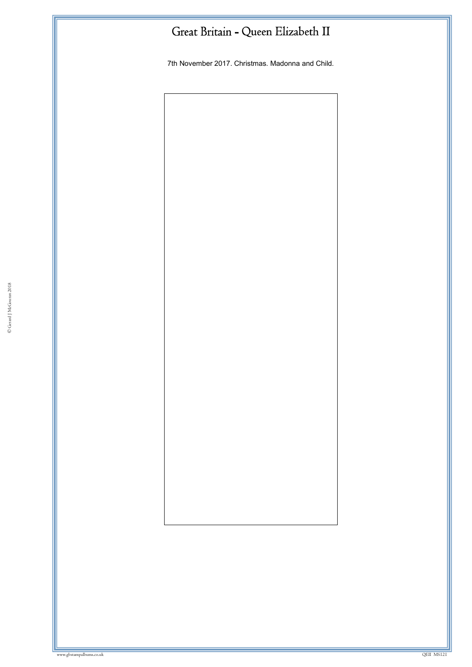7th November 2017. Christmas. Madonna and Child.

© Gerard J McGouran 2018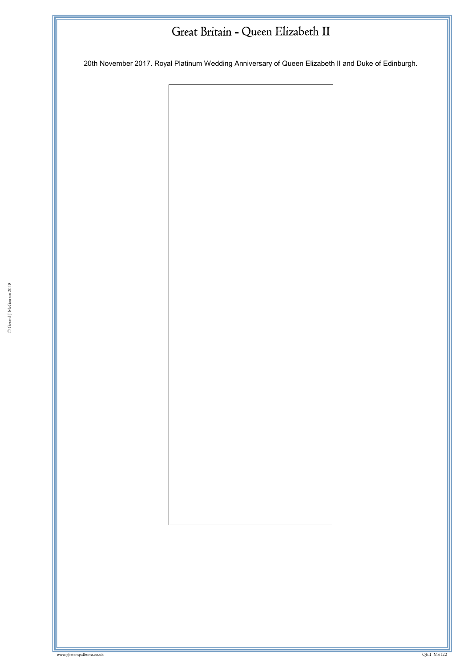20th November 2017. Royal Platinum Wedding Anniversary of Queen Elizabeth II and Duke of Edinburgh.

© Gerard J McGouran 2018

where we have a state of the state of the state of the state of the state of the state of the state of the state of the state of the state of the state of the state of the state of the state of the state of the state of th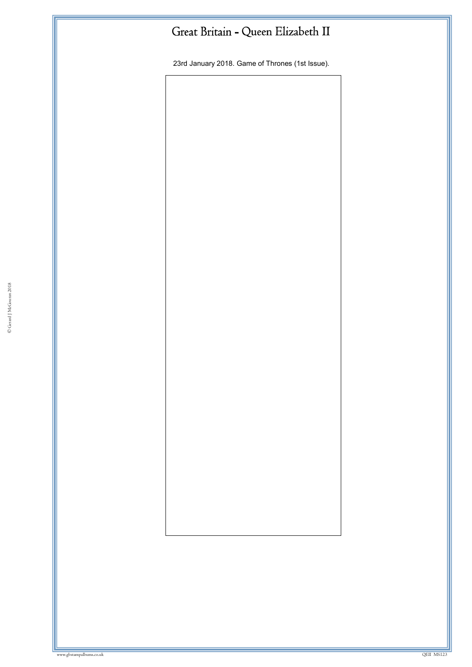23rd January 2018. Game of Thrones (1st Issue).

© Gerard J McGouran 2018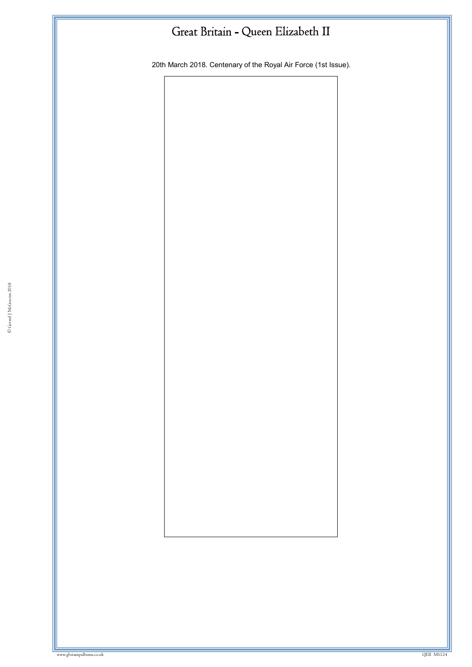20th March 2018. Centenary of the Royal Air Force (1st Issue).

© Gerard J McGouran 2018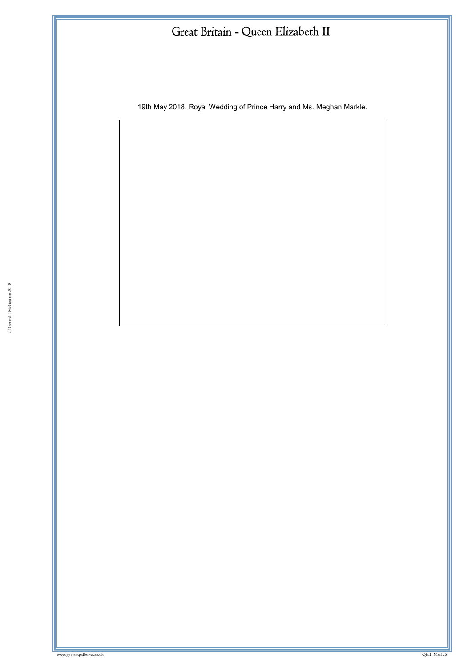19th May 2018. Royal Wedding of Prince Harry and Ms. Meghan Markle.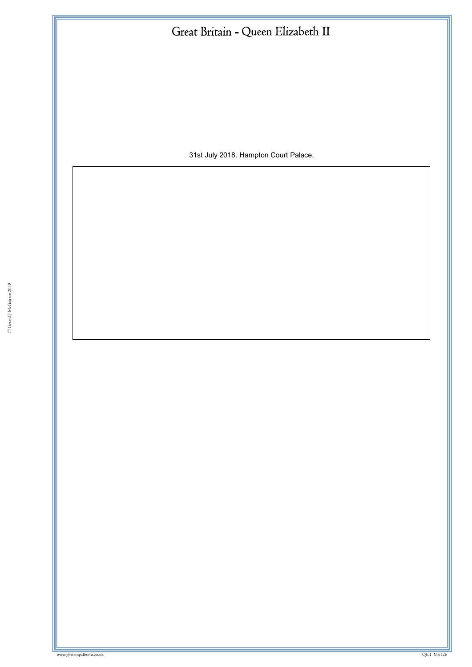| 31st July 2018. Hampton Court Palace. |
|---------------------------------------|
|                                       |
|                                       |
|                                       |
|                                       |
|                                       |
|                                       |
|                                       |
|                                       |
|                                       |
|                                       |
|                                       |
|                                       |
|                                       |
|                                       |
|                                       |
|                                       |
|                                       |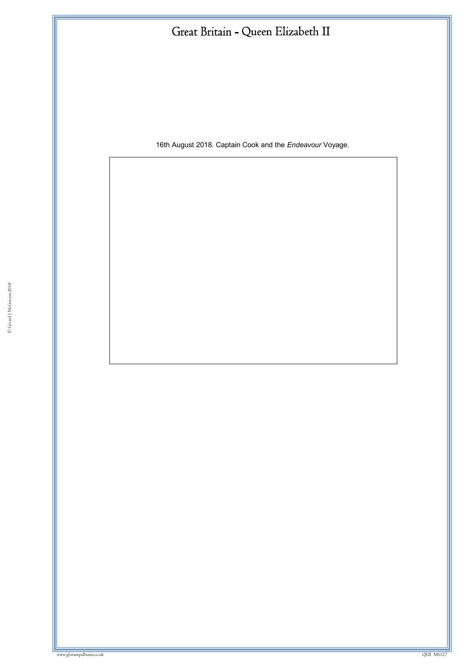16th August 2018. Captain Cook and the *Endeavour* Voyage.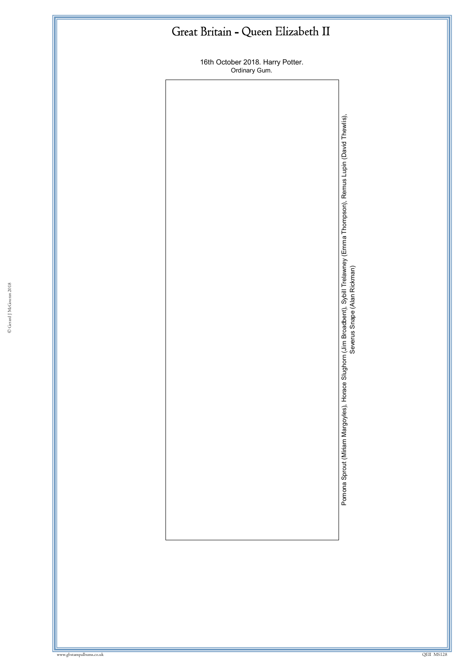16th October 2018. Harry Potter. Ordinary Gum.

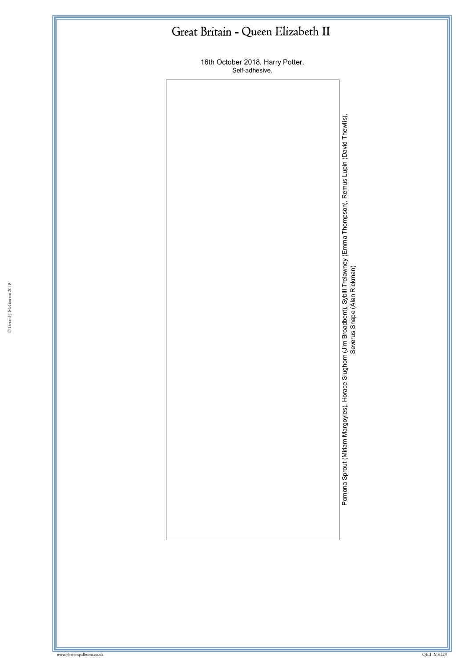16th October 2018. Harry Potter. Self -adhesive.

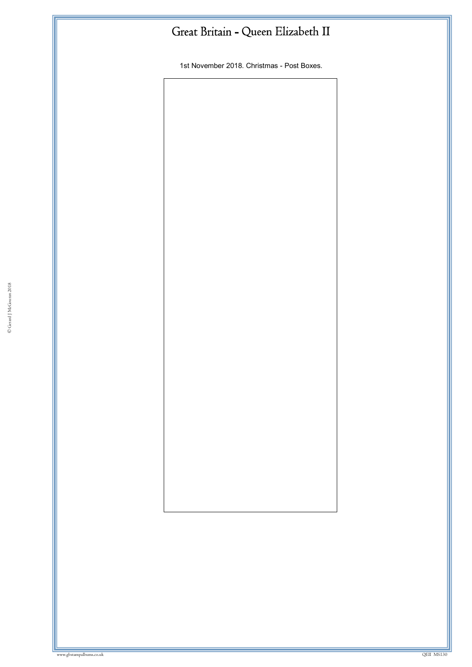1st November 2018. Christmas - Post Boxes.

© Gerard J McGouran 2018

where we have a state of the state of the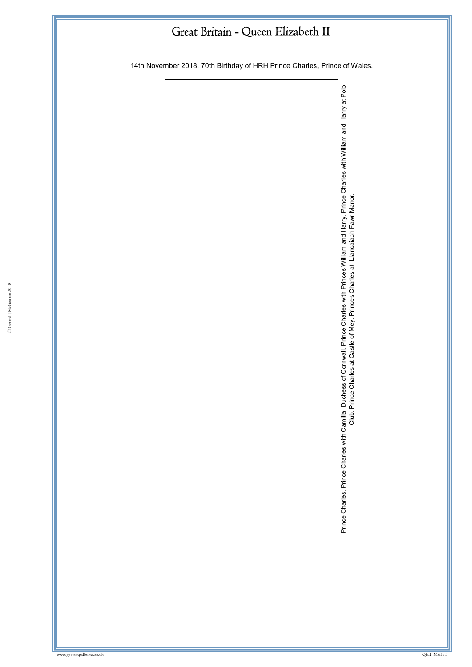14th November 2018. 70th Birthday of HRH Prince Charles, Prince of Wales.

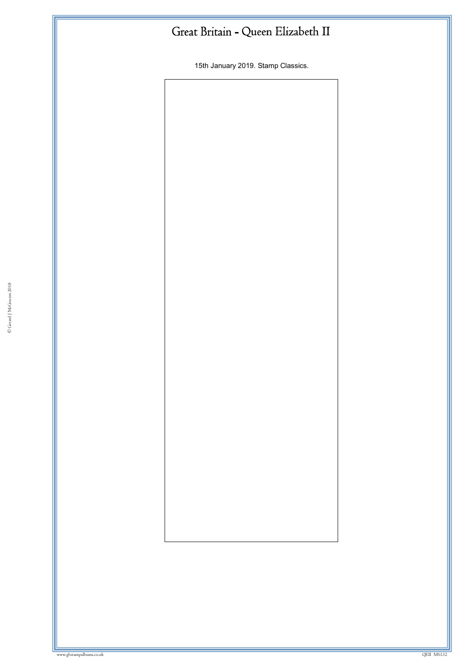15th January 2019. Stamp Classics.

© Gerard J McGouran 2018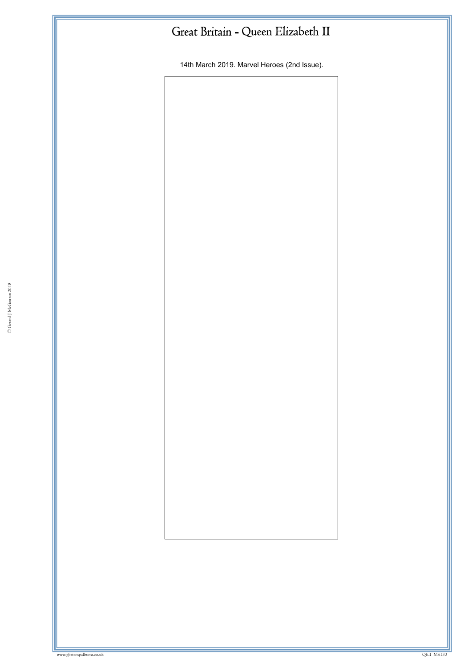14th March 2019. Marvel Heroes (2nd Issue).

© Gerard J McGouran 2018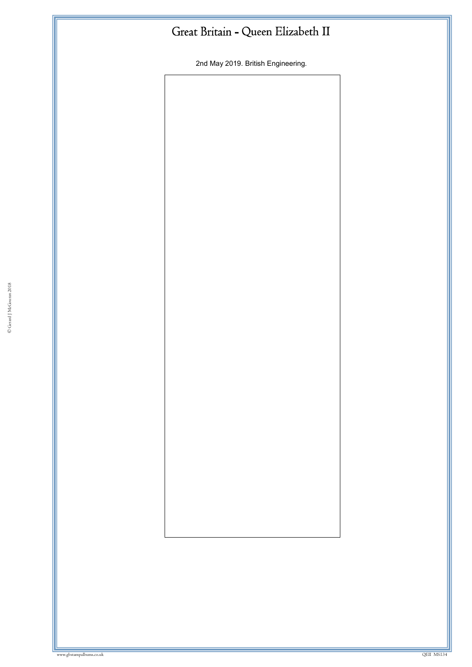2nd May 2019. British Engineering.

© Gerard J McGouran 2018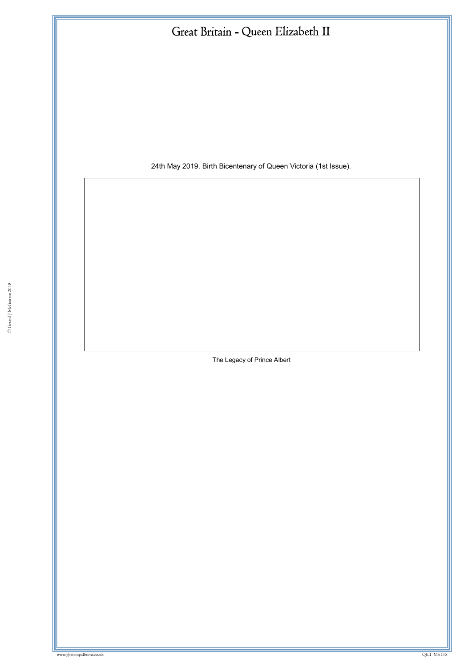24th May 2019. Birth Bicentenary of Queen Victoria (1st Issue).

The Legacy of Prince Albert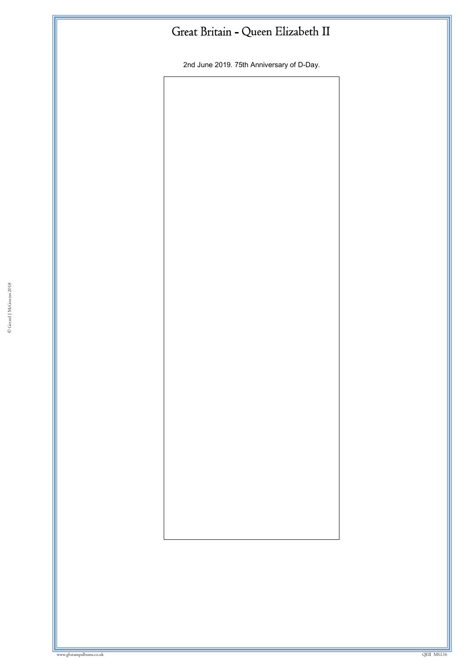2nd June 2019. 75th Anniversary of D-Day.

© Gerard J McGouran 2018

where we have a state of the state of the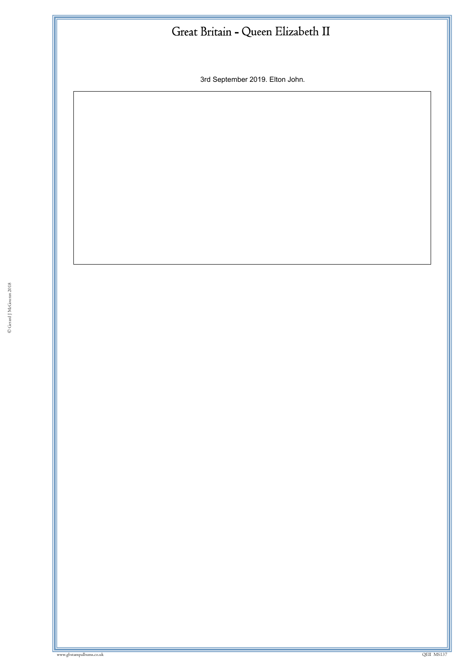3rd September 2019. Elton John.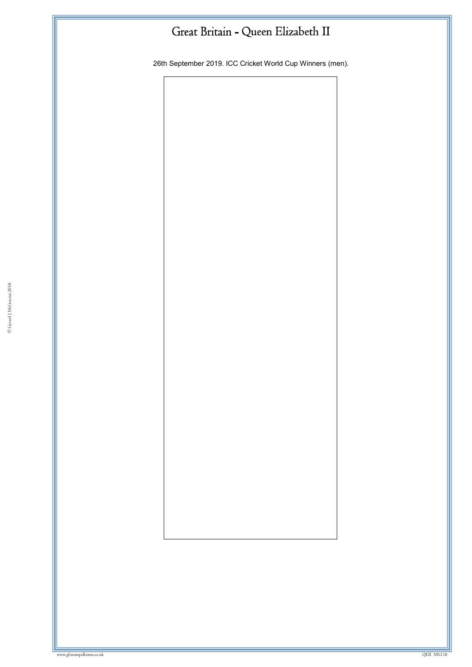26th September 2019. ICC Cricket World Cup Winners (men).

© Gerard J McGouran 2018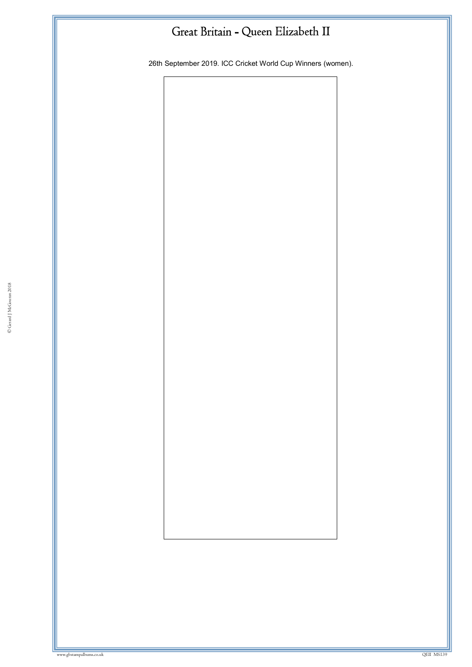26th September 2019. ICC Cricket World Cup Winners (women).

© Gerard J McGouran 2018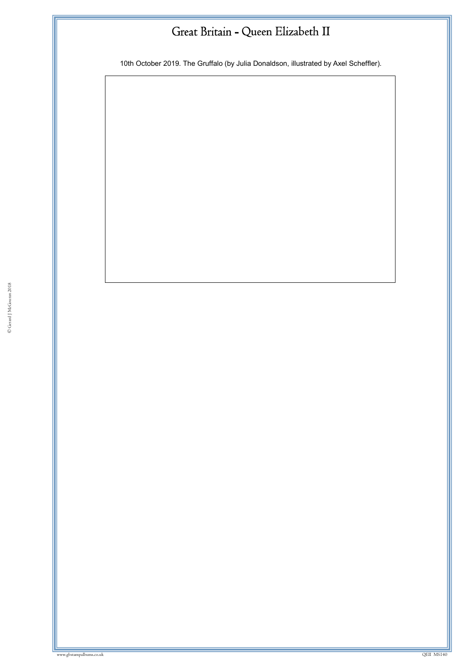10th October 2019. The Gruffalo (by Julia Donaldson, illustrated by Axel Scheffler).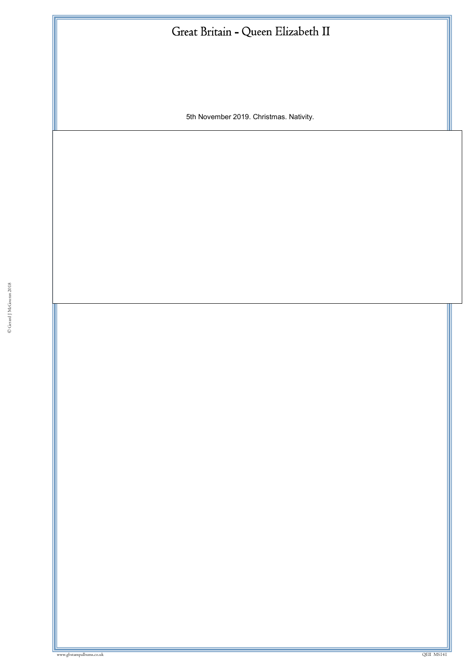5th November 2019. Christmas. Nativity.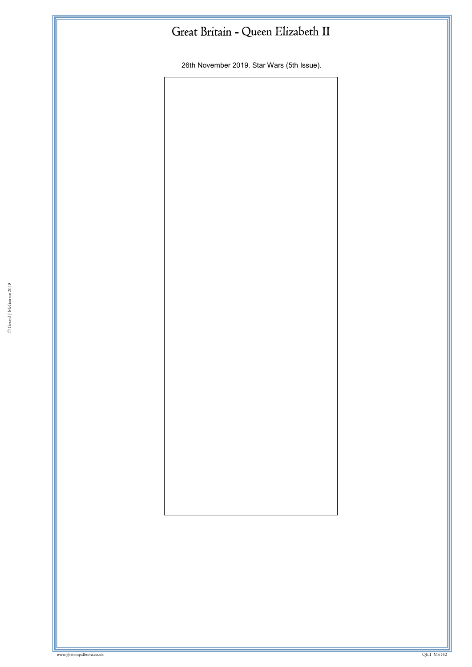26th November 2019. Star Wars (5th Issue).

© Gerard J McGouran 2018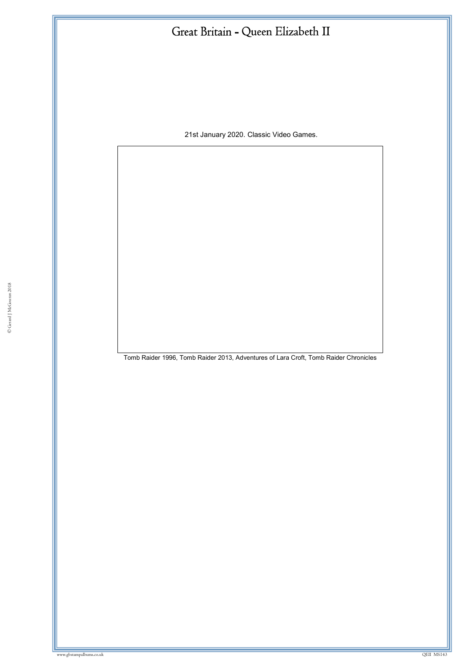21st January 2020. Classic Video Games.

Tomb Raider 1996, Tomb Raider 2013, Adventures of Lara Croft, Tomb Raider Chronicles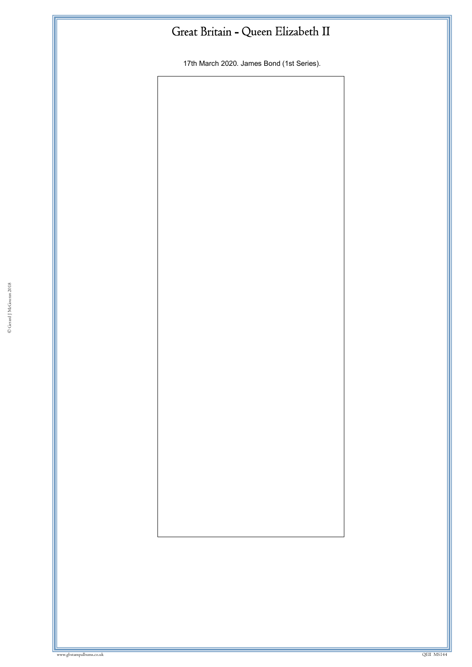17th March 2020. James Bond (1st Series).

© Gerard J McGouran 2018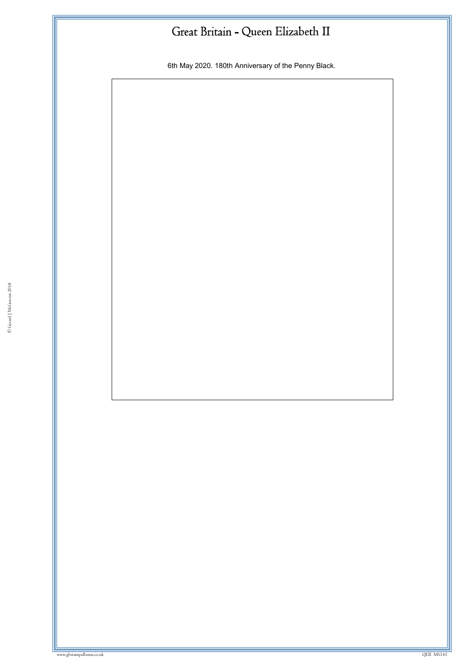6th May 2020. 180th Anniversary of the Penny Black.

www.gbstampalbums.co.uk QEII MS145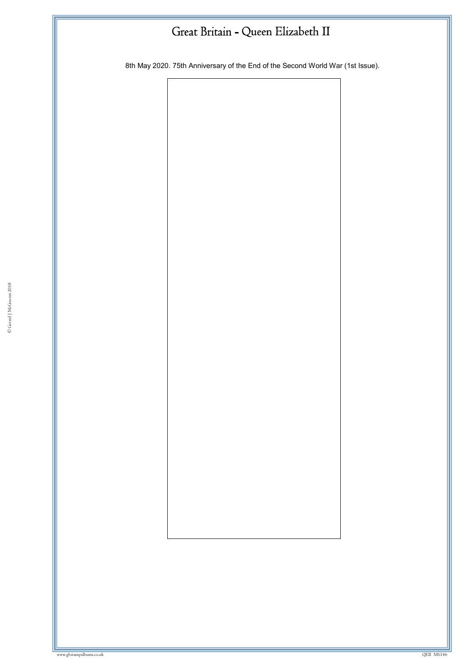8th May 2020. 75th Anniversary of the End of the Second World War (1st Issue).

© Gerard J McGouran 2018

where we have a state of the state of the state of the state of the state of the state of the state of the state of the state of the state of the state of the state of the state of the state of the state of the state of th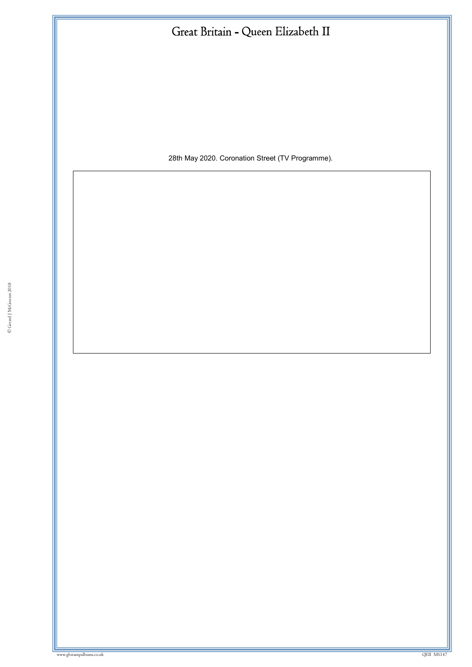| Great Britain - Queen Elizabeth II               |  |
|--------------------------------------------------|--|
|                                                  |  |
|                                                  |  |
|                                                  |  |
|                                                  |  |
| 28th May 2020. Coronation Street (TV Programme). |  |
|                                                  |  |
|                                                  |  |
|                                                  |  |
|                                                  |  |
|                                                  |  |
|                                                  |  |
|                                                  |  |
|                                                  |  |
|                                                  |  |
|                                                  |  |
|                                                  |  |
|                                                  |  |
|                                                  |  |
|                                                  |  |
|                                                  |  |
|                                                  |  |
|                                                  |  |
|                                                  |  |
|                                                  |  |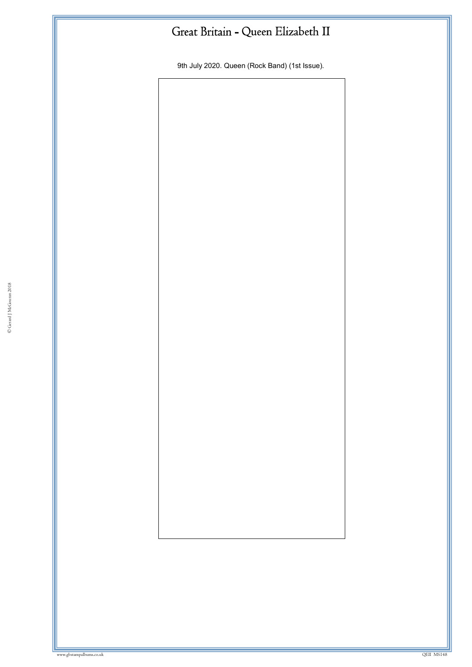9th July 2020. Queen (Rock Band) (1st Issue).

© Gerard J McGouran 2018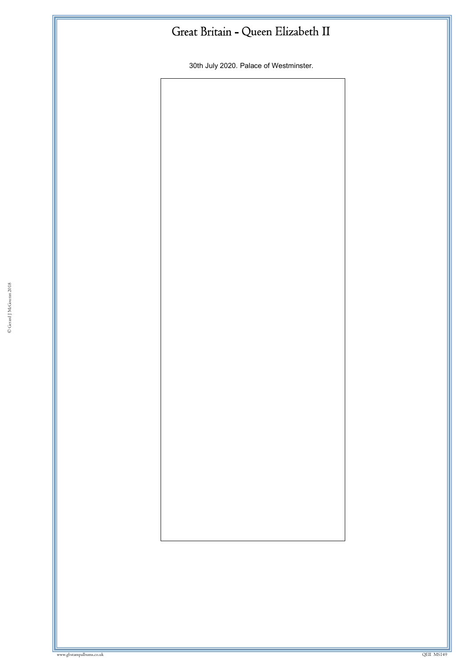30th July 2020. Palace of Westminster.

© Gerard J McGouran 2018

ww.gbstampalbums.com

www.gbstampalbums.co.uk QEII MS149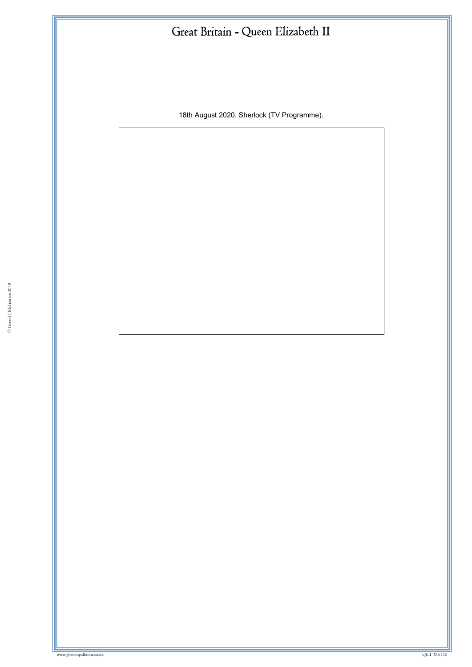18th August 2020. Sherlock (TV Programme).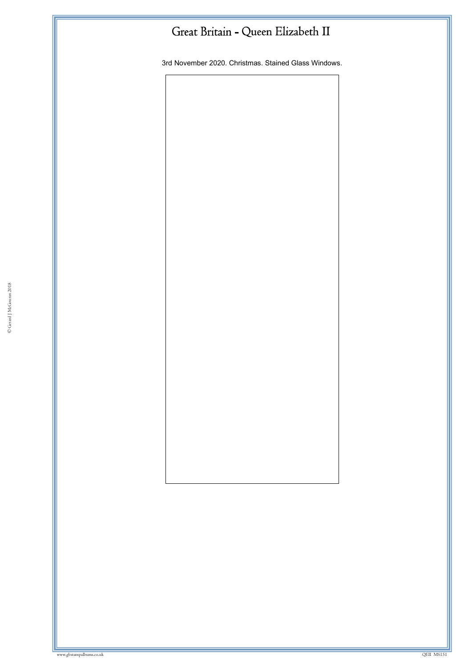3rd November 2020. Christmas. Stained Glass Windows.

© Gerard J McGouran 2018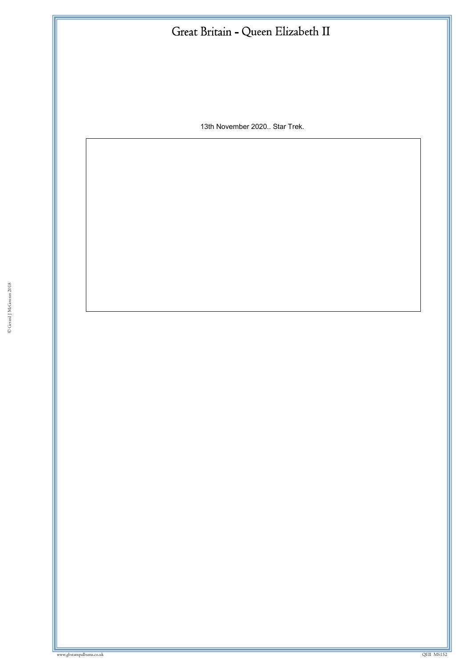13th November 2020.. Star Trek.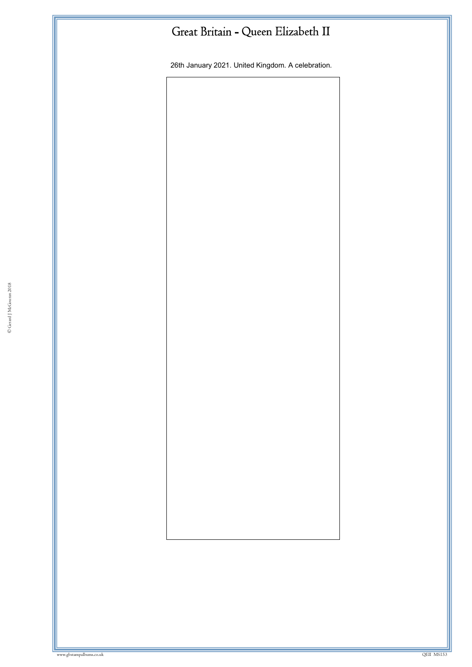26th January 2021. United Kingdom. A celebration.

© Gerard J McGouran 2018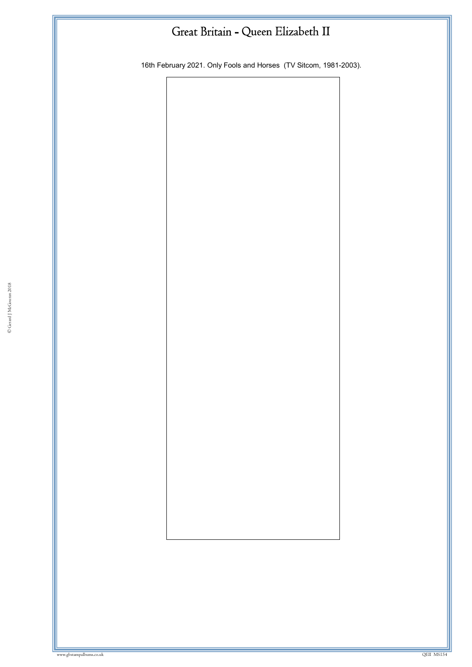16th February 2021. Only Fools and Horses (TV Sitcom, 1981-2003).

© Gerard J McGouran 2018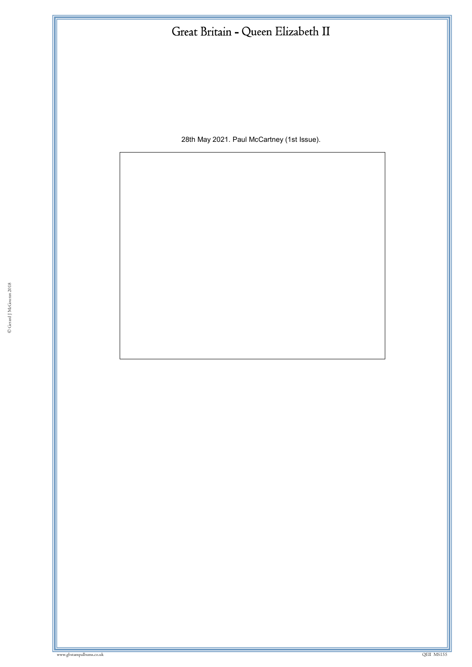28th May 2021. Paul McCartney (1st Issue).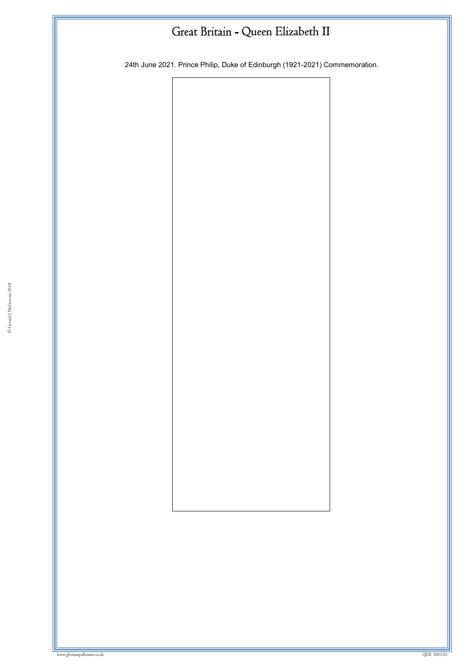24th June 2021. Prince Philip, Duke of Edinburgh (1921-2021) Commemoration.

© Gerard J McGouran 2018

where we have a state of the control of the control of the control of the control of the control of the control of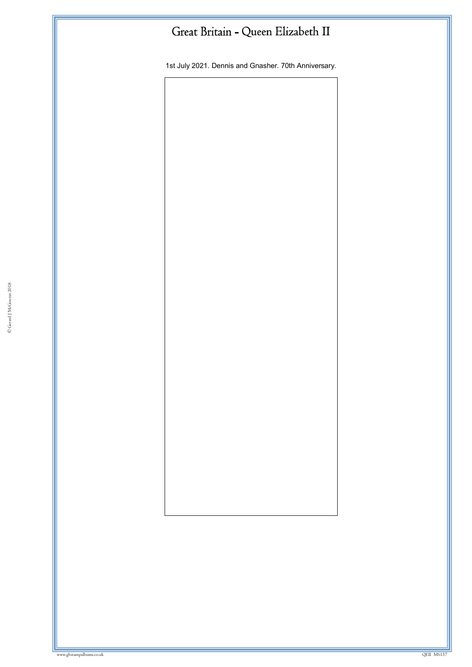1st July 2021. Dennis and Gnasher. 70th Anniversary.

© Gerard J McGouran 2018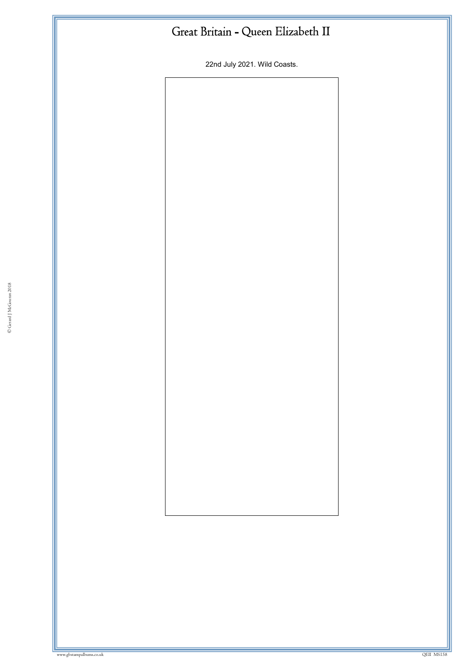22nd July 2021. Wild Coasts.

© Gerard J McGouran 2018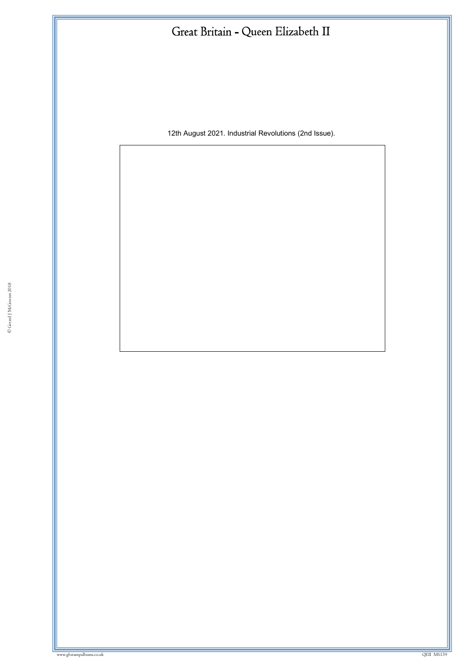12th August 2021. Industrial Revolutions (2nd Issue).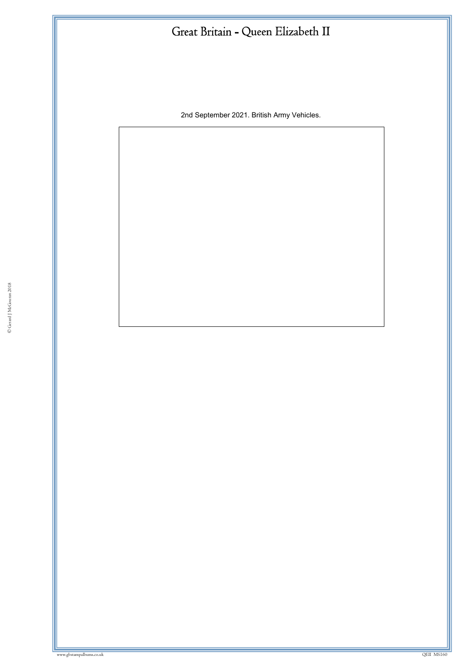2nd September 2021. British Army Vehicles.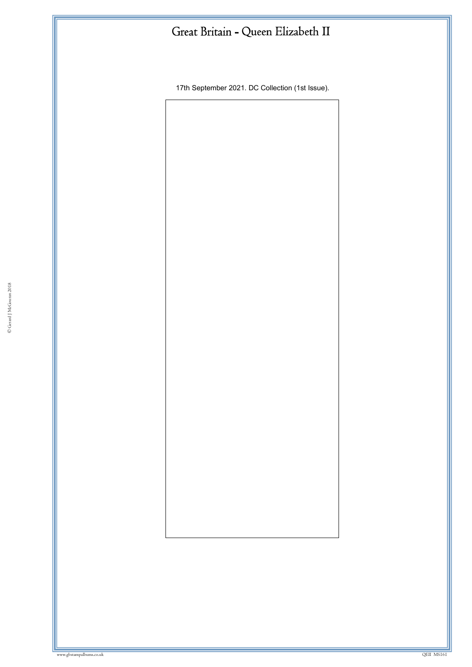17th September 2021. DC Collection (1st Issue).

© Gerard J McGouran 2018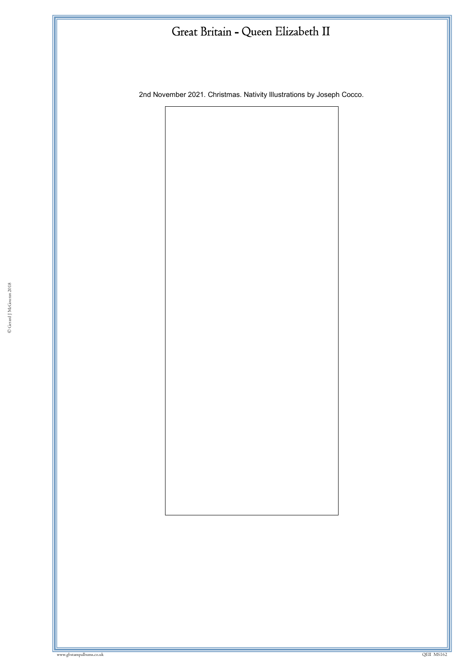2nd November 2021. Christmas. Nativity Illustrations by Joseph Cocco.

© Gerard J McGouran 2018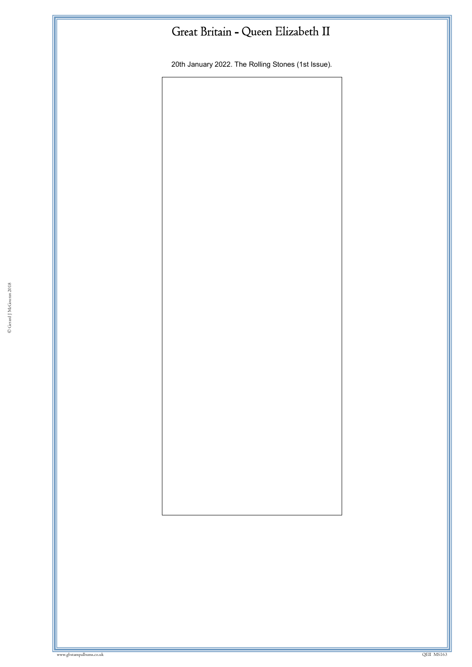20th January 2022. The Rolling Stones (1st Issue).

© Gerard J McGouran 2018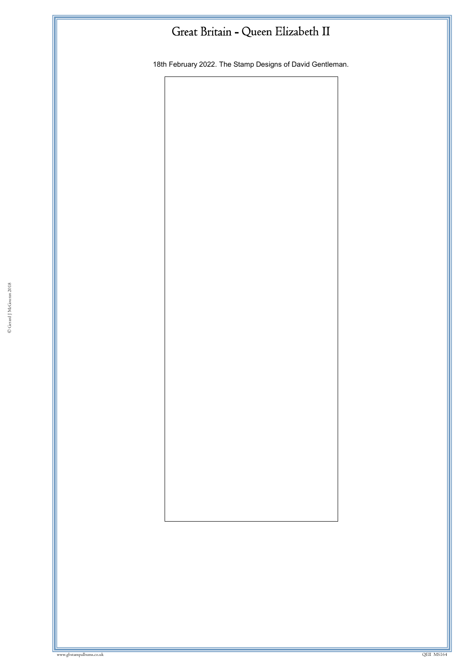18th February 2022. The Stamp Designs of David Gentleman.

© Gerard J McGouran 2018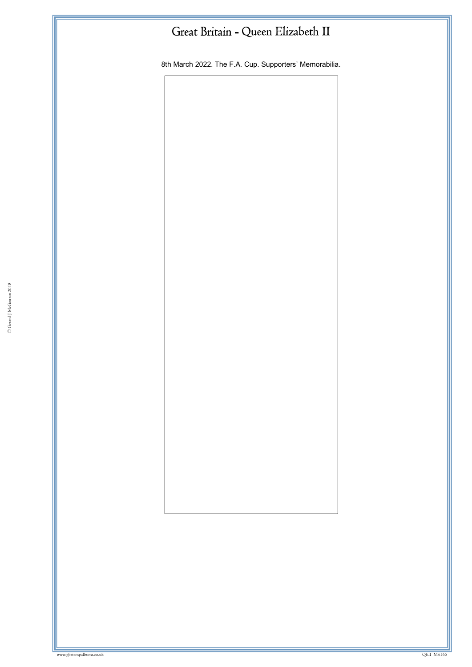8th March 2022. The F.A. Cup. Supporters' Memorabilia.

© Gerard J McGouran 2018